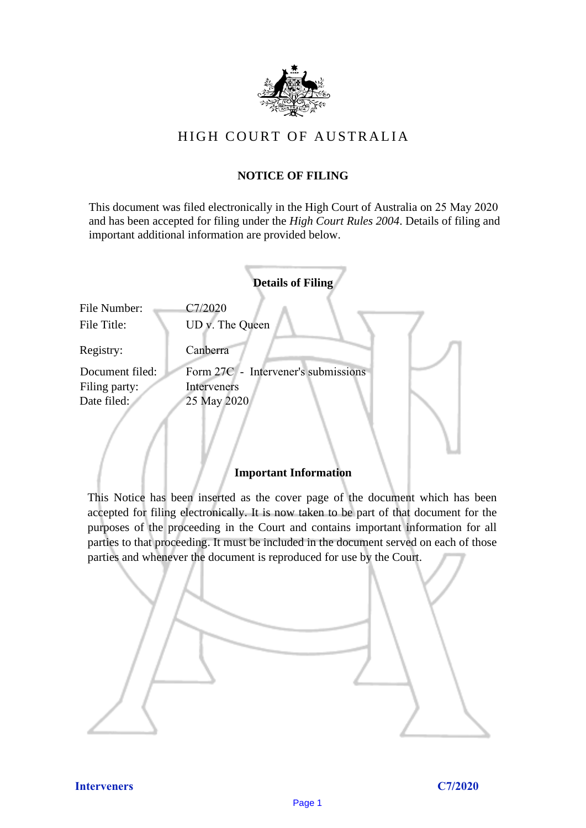

# HIGH COURT OF AU STRALIA HIGH COURT OF AUSTRALIA

## **NOTICE OF FILING** NOTICE OF FILING

This document was filed electronically in the High Court of Australia on 25 May 2020 This document was filed electronically in the High Court of Australia 20 and has been accepted for filing under the *High Court Rules 2004*. Details of filing and important additional information are provided below. important additional information are provided below.

|                             | <b>Details of Filing</b>            |
|-----------------------------|-------------------------------------|
| File Number:<br>File Title: | C7/2020<br>UD v. The Queen          |
|                             |                                     |
| Registry:                   | Canberra                            |
| Document filed:             | Form 27C - Intervener's submissions |
| Filing party:               | Interveners                         |
| Date filed:                 | 25 May 2020                         |
|                             |                                     |
|                             |                                     |
|                             |                                     |

### **Important Information** Important Information

This Notice has been inserted as the cover page of the document which has been accepted for filing electronically. It is now taken to be part of that document for the purposes of the proceeding in the Court and contains important information for all parties to that proceeding. It must be included in the document served on each of those parties and whenever the document is reproduced for use by the Court. parties and whenever the document is reproduced for use by the Court

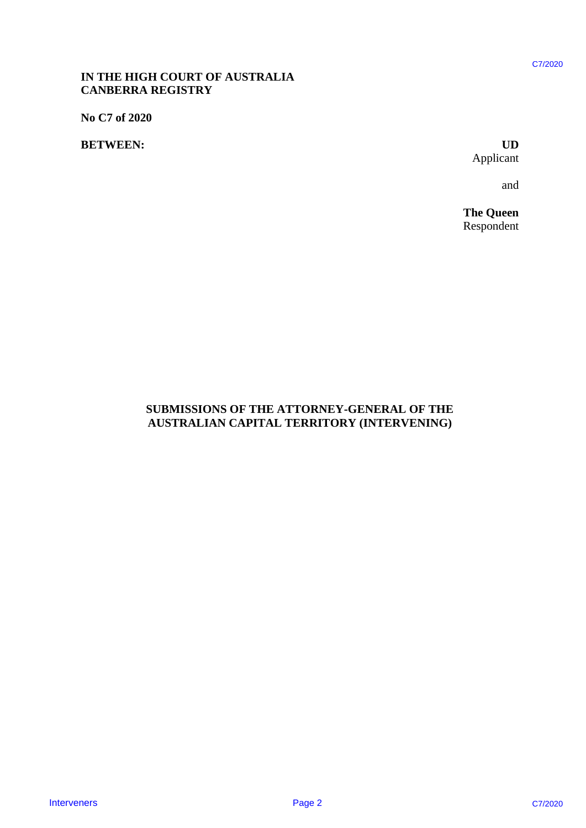### **IN THE HIGH COURT OF AUSTRALIA**  IN THE HIGH COURT OF AUSTRALIA **CANBERRA REGISTRY** CANBERRA REGISTRY

**No C7 of 2020** No C7 of 2020

### **BETWEEN: UD** BETWEEN:

Applicant Applicant UD

and and

**The Queen** The Queen Respondent C7/2020<br>
UD<br>
Applicant<br>
and<br>
The Queen<br>
Respondent

# **SUBMISSIONS OF THE ATTORNEY-GENERAL OF THE**  SUBMISSIONS OF THE ATTORNEY-GENERAL OF THE **AUSTRALIAN CAPITAL TERRITORY (INTERVENING)** AUSTRALIAN CAPITAL TERRITORY (INTERVENING) IN THE HIGH COURT OF AUSTRALIA<br>
CAUSERKA REGISTRY<br>
No C7 of 2020<br>
BETWEEN:<br>
BETWEEN:<br>
SUBMISSIONS OF THE ATTORNEY-CENERAL OF THE<br>
CUBARISSIONS OF THE ATTORNEY-CENERAL OF THE<br>
AUSTRALIAN CAPITAL TERRITORY (INTERVENING)<br>
AUS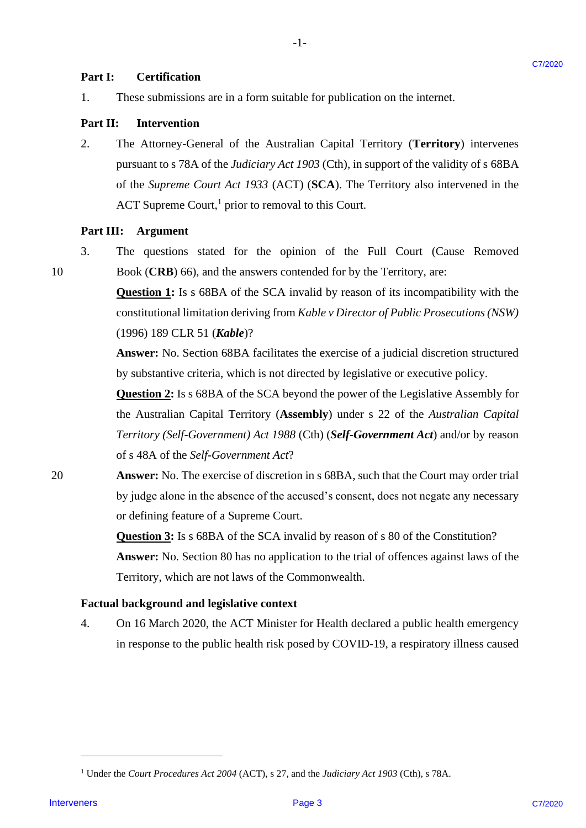### **Part I: Certification** Certification Part I:

1. These submissions are in a form suitable for publication on the internet. These submissions are in a form suitable for publication on the internet. 1.

### **Part II: Intervention** Part II: Intervention

2. The Attorney-General of the Australian Capital Territory (**Territory**) intervenes 2. The Attorney-General of the Australian Capital Territory (Territory) intervenes pursuant to s 78A of the *Judiciary Act 1903* (Cth), in support of the validity of s 68BA pursuant to <sup>s</sup> 78A of the Judiciary Act 1903 (Cth), in support of the validity of <sup>s</sup> 68BA of the *Supreme Court Act 1933* (ACT) (**SCA**). The Territory also intervened in the ACT Supreme Court,<sup>1</sup> prior to removal to this Court. **Part I:** Cortification are this form soluble for politication on the internet.<br>
I. These substrations are in a form solution Capital Terminey (Territory) intervenes<br> **Part II:** Intervention<br>
2. This Attorney-Ground of th

-1-

# **Part III: Argument** Part II: Argument

10

3. The questions stated for the opinion of the Full Court (Cause Removed The questions stated for the opinion of the Full Court (Cause Removed 10 Book (**CRB**) 66), and the answers contended for by the Territory, are: Book (CRB) 66), and the answers contended for by the Territory, are: 3.

> **Question 1:** Is s 68BA of the SCA invalid by reason of its incompatibility with the constitutional limitation deriving from *Kable v Director of Public Prosecutions* (NSW) (1996) 189 CLR 51 (*Kable*)? (1996) 189 CLR 51 (Kable)?

> **Answer:** No. Section 68BA facilitates the exercise of a judicial discretion structured Answer: No. Section 68BA facilitates the exercise of <sup>a</sup> judicial discretion structured by substantive criteria, which is not directed by legislative or executive policy. by substantive criteria, which is not directed by legislative or executive policy.

> **Question 2:** Is s 68BA of the SCA beyond the power of the Legislative Assembly for Question 2: Is <sup>s</sup> 68BA of the SCA beyond the power of the Legislative Assembly for the Australian Capital Territory (**Assembly**) under s 22 of the *Australian Capital*  the Australian Capital Territory (Assembly) under <sup>s</sup> 22 of the Australian Capital *Territory (Self-Government) Act 1988* (Cth) (*Self-Government Act*) and/or by reason Territory (Self-Government) Act 1988 (Cth) (Self-Government Act) and/or by reason of s 48A of the Self-Government Act?

20 **Answer:** No. The exercise of discretion in s 68BA, such that the Court may order trial Answer: No. The exercise of discretion in <sup>s</sup> 68BA, such that the Court may order trial by judge alone in the absence of the accused's consent, does not negate any necessary by judge alone in the absence of the accused's consent, does not negate any necessary or defining feature of a Supreme Court. or defining feature of <sup>a</sup> Supreme Court. 20

> **Question 3:** Is s 68BA of the SCA invalid by reason of s 80 of the Constitution? **Answer:** No. Section 80 has no application to the trial of offences against laws of the Answer: No. Section 80 has no application to the trial of offences against laws of the Territory, which are not laws of the Commonwealth. Territory, which are not laws of the Commonwealth.

### **Factual background and legislative context** Factual background and legislative context

4. On 16 March 2020, the ACT Minister for Health declared a public health emergency On 16 March 2020, the ACT Minister for Health declared <sup>a</sup> public health emergency in response to the public health risk posed by COVID-19, a respiratory illness caused in response to the public health risk posed by COVID-19, a respiratory illness caused 4.

<sup>&</sup>lt;sup>1</sup> Under the *Court Procedures Act 2004* (ACT), s 27, and the *Judiciary Act 1903* (Cth), s 78A.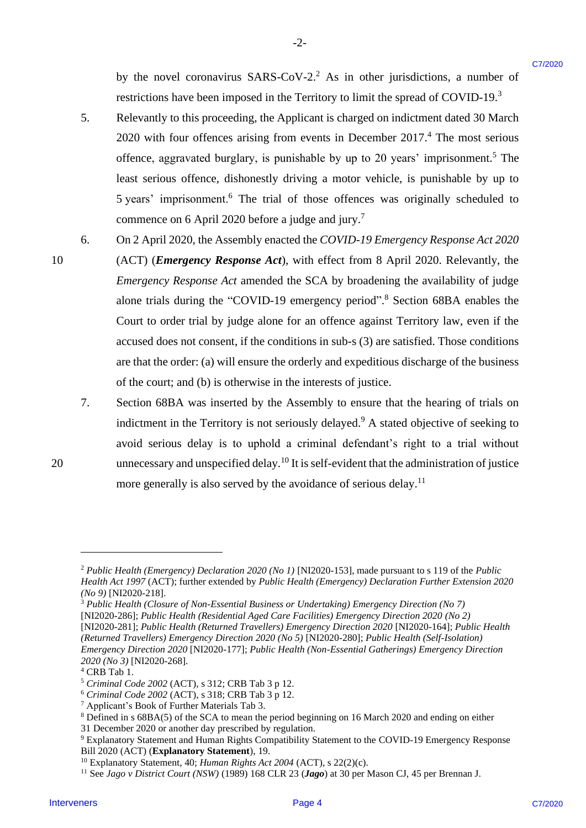by the novel coronavirus SARS-CoV-2.<sup>2</sup> As in other jurisdictions, a number of restrictions have been imposed in the Territory to limit the spread of COVID-19.<sup>3</sup>

5. Relevantly to this proceeding, the Applicant is charged on indictment dated 30 March 5. Relevantly to this proceeding, the Applicant is charged on indictment dated 30 March  $2020$  with four offences arising from events in December  $2017<sup>4</sup>$ . The most serious offence, aggravated burglary, is punishable by up to 20 years' imprisonment.<sup>5</sup> The least serious offence, dishonestly driving a motor vehicle, is punishable by up to least serious offence, dishonestly driving <sup>a</sup> motor vehicle, is punishable by up to 5 years' imprisonment.<sup>6</sup> The trial of those offences was originally scheduled to <sup>5</sup> years' imprisonment.° The trial of those offences was originally scheduled to commence on 6 April 2020 before a judge and jury.<sup>7</sup>

-2- -2-

6. On 2 April 2020, the Assembly enacted the *COVID-19 Emergency Response Act 2020*  6. On 2 April 2020, the Assembly enacted the COVID-19 Emergency Response Act 2020

- 10 (ACT) (*Emergency Response Act*), with effect from 8 April 2020. Relevantly, the *Emergency Response Act* amended the SCA by broadening the availability of judge Emergency Response Act amended the SCA by broadening the availability of judge alone trials during the "COVID-19 emergency period". <sup>8</sup> Section 68BA enables the alone trials during the "COVID-19 emergency period".® Section 68BA enables the Court to order trial by judge alone for an offence against Territory law, even if the Court to order trial by judge alone for an offence against Territory law, even if the accused does not consent, if the conditions in sub-s (3) are satisfied. Those conditions accused does not consent, ifthe conditions in sub-s (3) are satisfied. Those conditions are that the order: (a) will ensure the orderly and expeditious discharge of the business are that the order: (a) will ensure the orderly and expeditious discharge ofthe business of the court; and (b) is otherwise in the interests of justice. Ity the around concentriums SARS-COV-2-2 As in other junisdictions, a number of<br>
restriction-house here inequal on the frenchesy in their the symmetric (COVID-19)<br>
Selection by the interveners concentrate (COVID-19)<br>
Sel
- 7. Section 68BA was inserted by the Assembly to ensure that the hearing of trials on 7. Section 68BA was inserted by the Assembly to ensure that the hearing of trials on indictment in the Territory is not seriously delayed.<sup>9</sup> A stated objective of seeking to avoid serious delay is to uphold a criminal defendant's right to a trial without avoid serious delay is to uphold a criminal defendant's right to a trial without 20 unnecessary and unspecified delay.<sup>10</sup> It is self-evident that the administration of justice more generally is also served by the avoidance of serious delay.<sup>11</sup>

<sup>&</sup>lt;sup>2</sup> Public Health (Emergency) Declaration 2020 (No 1) [NI2020-153], made pursuant to s 119 of the Public *Health Act 1997* (ACT); further extended by *Public Health (Emergency) Declaration Further Extension 2020*  Health Act 1997 (ACT); further extended by Public Health (Emergency) Declaration Further Extension 2020 *(No 9)* [NI2020-218]. (No 9) [NI2020-218].

<sup>&</sup>lt;sup>3</sup> Public Health (Closure of Non-Essential Business or Undertaking) Emergency Direction (No 7) [NI2020-286]; *Public Health (Residential Aged Care Facilities) Emergency Direction 2020 (No 2)* [NI2020-286]; Public Health (Residential Aged Care Facilities) Emergency Direction 2020 (No 2) [NI2020-281]; Public Health (Returned Travellers) Emergency Direction 2020 [NI2020-164]; Public Health *(Returned Travellers) Emergency Direction 2020 (No 5)* [NI2020-280]; *Public Health (Self-Isolation)*  (Returned Travellers) Emergency Direction 2020 (No 5) [NI2020-280]; Public Health (Self-Isolation) *Emergency Direction 2020* [NI2020-177]; *Public Health (Non-Essential Gatherings) Emergency Direction*  Emergency Direction 2020 [NI2020-177]; Public Health (Non-Essential Gatherings) Emergency Direction *2020 (No 3)* [NI2020-268]. 2020 (No 3) [NI2020-268].

<sup>4</sup> CRB Tab 1. 4 CRB Tab 1.

<sup>5</sup> *Criminal Code 2002* (ACT), s 312; CRB Tab 3 p 12. >Criminal Code 2002 (ACT), s 312; CRB Tab <sup>3</sup> p 12.

<sup>6</sup> *Criminal Code 2002* (ACT), s 318; CRB Tab 3 p 12. ®°Criminal Code 2002 (ACT), s 318; CRB Tab <sup>3</sup> p 12.

<sup>&</sup>lt;sup>7</sup> Applicant's Book of Further Materials Tab 3.

 $8$  Defined in s 68BA(5) of the SCA to mean the period beginning on 16 March 2020 and ending on either

<sup>31</sup> December 2020 or another day prescribed by regulation. 31 December 2020 or another day prescribed by regulation.

<sup>9</sup> Explanatory Statement and Human Rights Compatibility Statement to the COVID-19 Emergency Response Explanatory Statement and Human Rights Compatibility Statement to the COVID-19 Emergency Response Bill 2020 (ACT) (**Explanatory Statement**), 19. Bill 2020 (ACT) (Explanatory Statement), 19.

<sup>&</sup>lt;sup>10</sup> Explanatory Statement, 40; *Human Rights Act 2004* (ACT), s 22(2)(c).

<sup>11</sup> See *Jago v District Court (NSW)* (1989) 168 CLR 23 (*Jago*) at 30 per Mason CJ, 45 per Brennan J. 'l See Jago v District Court (NSW) (1989) 168 CLR 23 (Jago) at 30 per Mason CJ, 45 per Brennan J.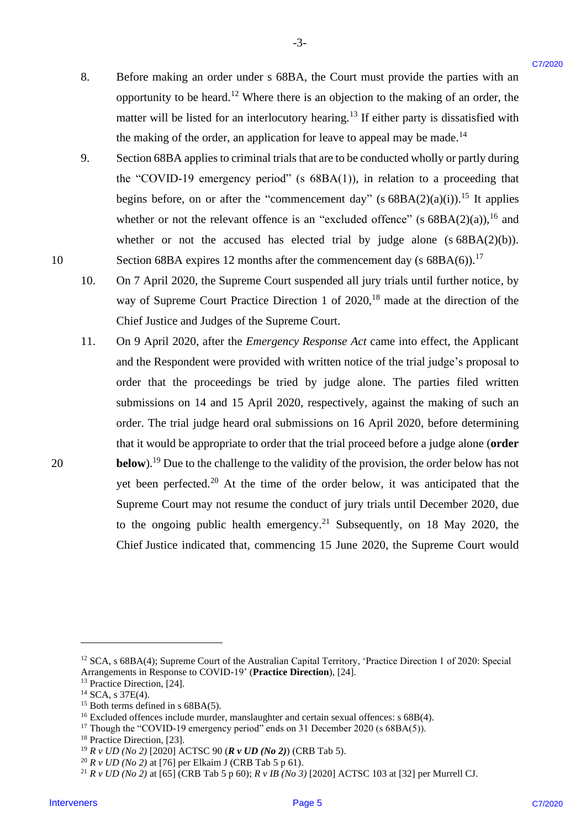8. Before making an order under s 68BA, the Court must provide the parties with an Before making an order under <sup>s</sup> 68BA, the Court must provide the parties with an opportunity to be heard.<sup>12</sup> Where there is an objection to the making of an order, the matter will be listed for an interlocutory hearing.<sup>13</sup> If either party is dissatisfied with the making of the order, an application for leave to appeal may be made.<sup>14</sup> 8.

-3- -3-

9. Section 68BA applies to criminal trials that are to be conducted wholly or partly during Section 68BA applies to criminal trials that are to be conducted wholly or partly during the "COVID-19 emergency period" (s  $68BA(1)$ ), in relation to a proceeding that begins before, on or after the "commencement day" (s  $68BA(2)(a)(i)$ ).<sup>15</sup> It applies whether or not the relevant offence is an "excluded offence" (s  $68BA(2)(a)$ ), <sup>16</sup> and whether or not the accused has elected trial by judge alone (s  $68BA(2)(b)$ ). 10 Section 68BA expires 12 months after the commencement day (s 68BA(6)).<sup>17</sup> 9.

10. On 7 April 2020, the Supreme Court suspended all jury trials until further notice, by On <sup>7</sup> April 2020, the Supreme Court suspended all jury trials until further notice, by way of Supreme Court Practice Direction 1 of 2020,<sup>18</sup> made at the direction of the Chief Justice and Judges of the Supreme Court. Chief Justice and Judges of the Supreme Court. 10.

11. On 9 April 2020, after the *Emergency Response Act* came into effect, the Applicant On 9 April 2020, after the Emergency Response Act came into effect, the Applicant and the Respondent were provided with written notice of the trial judge's proposal to and the Respondent were provided with written notice of the trial judge's proposal to order that the proceedings be tried by judge alone. The parties filed written order that the proceedings be tried by judge alone. The parties filed written submissions on 14 and 15 April 2020, respectively, against the making of such an submissions on 14 and <sup>15</sup> April 2020, respectively, against the making of such an order. The trial judge heard oral submissions on 16 April 2020, before determining order. The trial judge heard oral submissions on 16 April 2020, before determining that it would be appropriate to order that the trial proceed before a judge alone (**order**  that it would be appropriate to order that the trial proceed before <sup>a</sup> judge alone (order 20 **below**).<sup>19</sup> Due to the challenge to the validity of the provision, the order below has not yet been perfected.<sup>20</sup> At the time of the order below, it was anticipated that the Supreme Court may not resume the conduct of jury trials until December 2020, due Supreme Court may not resume the conduct of jury trials until December 2020, due to the ongoing public health emergency.<sup>21</sup> Subsequently, on 18 May 2020, the Chief Justice indicated that, commencing 15 June 2020, the Supreme Court would 8. Before anaking an order andar s 68BA, the Court must provide the parties with an organization of the burster function to the multiplerion to the mustique of an order. The energy is dissimilated with the mustique of th 11.

<sup>&</sup>lt;sup>12</sup> SCA, s 68BA(4); Supreme Court of the Australian Capital Territory, 'Practice Direction 1 of 2020: Special Arrangements in Response to COVID-19' (**Practice Direction**), [24]. Arrangements in Response to COVID-19' (Practice Direction), [24].

<sup>13</sup> Practice Direction, [24]. 3 Practice Direction, [24].

 $14$  SCA, s 37E(4).

 $15$  Both terms defined in s 68BA(5).

<sup>&</sup>lt;sup>16</sup> Excluded offences include murder, manslaughter and certain sexual offences: s 68B(4).

<sup>&</sup>lt;sup>17</sup> Though the "COVID-19 emergency period" ends on 31 December 2020 (s 68BA(5)).

<sup>18</sup> Practice Direction, [23]. '8 Practice Direction, [23].

<sup>19</sup> *R v UD (No 2)* [2020] ACTSC 90 (*R v UD (No 2)*) (CRB Tab 5). 9 Rv UD (No 2) [2020] ACTSC 90 (R v UD (No 2)) (CRB Tab 5).

<sup>20</sup> *R v UD (No 2)* at [76] per Elkaim J (CRB Tab 5 p 61). <sup>20</sup> R v UD (No 2) at [76] per Elkaim J (CRB Tab <sup>5</sup> p 61).

<sup>&</sup>lt;sup>21</sup> *R v UD (No 2)* at [65] (CRB Tab 5 p 60); *R v IB (No 3)* [2020] ACTSC 103 at [32] per Murrell CJ.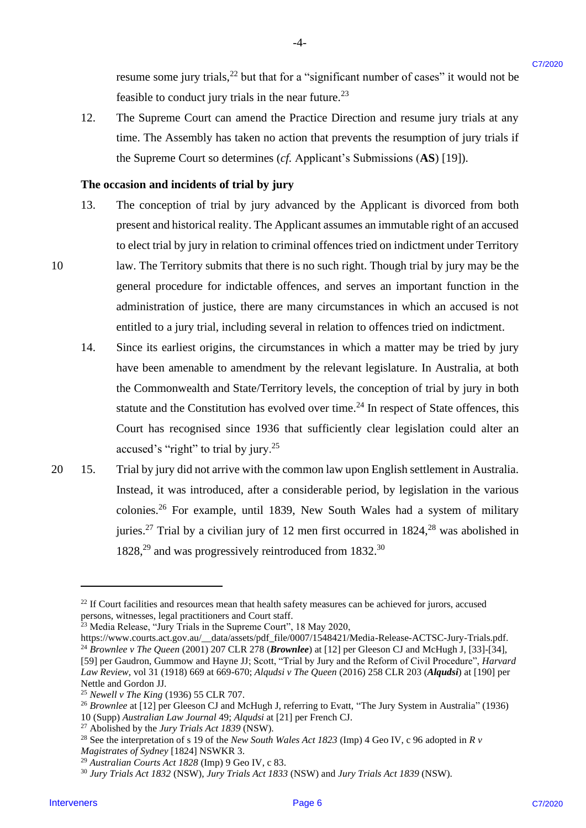resume some jury trials,<sup>22</sup> but that for a "significant number of cases" it would not be feasible to conduct jury trials in the near future.<sup>23</sup>

12. The Supreme Court can amend the Practice Direction and resume jury trials at any 12. The Supreme Court can amend the Practice Direction and resume jury trials at any time. The Assembly has taken no action that prevents the resumption of jury trials if time. The Assembly has taken no action that prevents the resumption of jury trials if the Supreme Court so determines (*cf.* Applicant's Submissions (**AS**) [19]). the Supreme Court so determines (cf Applicant's Submissions (AS) [19]).

-4- -4-

### The occasion and incidents of trial by jury

- 13. The conception of trial by jury advanced by the Applicant is divorced from both 13. The conception of trial by jury advanced by the Applicantis divorced from both present and historical reality. The Applicant assumes an immutable right of an accused present and historical reality. The Applicantassumes an immutable right of an accused to elect trial by jury in relation to criminal offences tried on indictment under Territory to elect trial by jury in relation to criminal offences tried on indictment under Territory 10 law. The Territory submits that there is no such right. Though trial by jury may be the general procedure for indictable offences, and serves an important function in the general procedure for indictable offences, and serves an important function in the administration of justice, there are many circumstances in which an accused is not administration of justice, there are many circumstances in which an accused is not entitled to a jury trial, including several in relation to offences tried on indictment. entitled to <sup>a</sup> jury trial, including several in relation to offences tried on indictment. resonance some jary trials,<sup>73</sup> but that for a "significant number of eases" it would not be<br>
1ntervent-to control they risk is the near tutting?<br>
The Supernor Court contra and the Practice Direction and resume jury trial
	- 14. Since its earliest origins, the circumstances in which a matter may be tried by jury 14. Since its earliest origins, the circumstances in which <sup>a</sup> matter may be tried by jury have been amenable to amendment by the relevant legislature. In Australia, at both have been amenable to amendment by the relevant legislature. In Australia, at both the Commonwealth and State/Territory levels, the conception of trial by jury in both the Commonwealth and State/Territory levels, the conception of trial by jury in both statute and the Constitution has evolved over time.<sup>24</sup> In respect of State offences, this Court has recognised since 1936 that sufficiently clear legislation could alter an Court has recognised since 1936 that sufficiently clear legislation could alter an accused's "right" to trial by jury.<sup>25</sup>
- 20 15. Trial by jury did not arrive with the common law upon English settlement in Australia. 20 15. Trial by jury did not arrive with the common law upon English settlement in Australia. Instead, it was introduced, after a considerable period, by legislation in the various Instead, it was introduced, after a considerable period, by legislation in the various colonies.<sup>26</sup> For example, until 1839, New South Wales had a system of military juries.<sup>27</sup> Trial by a civilian jury of 12 men first occurred in  $1824$ ,<sup>28</sup> was abolished in 1828,<sup>29</sup> and was progressively reintroduced from 1832.<sup>30</sup>

 $22$  If Court facilities and resources mean that health safety measures can be achieved for jurors, accused persons, witnesses, legal practitioners and Court staff. persons, witnesses, legal practitioners and Court staff.

<sup>&</sup>lt;sup>23</sup> Media Release, "Jury Trials in the Supreme Court", 18 May 2020,

https://www.courts.act.gov.au/\_\_data/assets/pdf\_file/0007/1548421/Media-Release-ACTSC-Jury-Trials.pdf. https://www.courts.act.gov.au/\_\_data/assets/pdf\_file/0007/154842 1/Media-Release-ACTSC-Jury-Trials.pdf. <sup>24</sup> Brownlee v The Queen (2001) 207 CLR 278 (**Brownlee**) at [12] per Gleeson CJ and McHugh J, [33]-[34], [59] per Gaudron, Gummow and Hayne JJ; Scott, "Trial by Jury and the Reform of Civil Procedure", *Harvard*  [59] per Gaudron, Gummow and Hayne JJ; Scott, "Trial by Jury and the Reform of Civil Procedure", Harvard Law Review, vol 31 (1918) 669 at 669-670; Alqudsi v The Queen (2016) 258 CLR 203 (Alqudsi) at [190] per Nettle and Gordon JJ. Nettle and Gordon JJ.

<sup>&</sup>lt;sup>25</sup> Newell v The King (1936) 55 CLR 707.

<sup>&</sup>lt;sup>26</sup> Brownlee at [12] per Gleeson CJ and McHugh J, referring to Evatt, "The Jury System in Australia" (1936) 10 (Supp) *Australian Law Journal* 49; *Alqudsi* at [21] per French CJ. 10 (Supp) Australian Law Journal 49; Alqudsi at [21] per French CJ.

<sup>27</sup> Abolished by the *Jury Trials Act 1839* (NSW). <sup>27</sup> Abolished by the Jury Trials Act 1839 (NSW).

<sup>28</sup> See the interpretation of s 19 of the *New South Wales Act 1823* (Imp) 4 Geo IV, c 96 adopted in *R v*  ?8 See the interpretation of <sup>s</sup> <sup>19</sup> of the New South Wales Act 1823 (Imp) 4 Geo IV, <sup>c</sup> 96 adopted in <sup>R</sup> v Magistrates of Sydney [1824] NSWKR 3.

<sup>29</sup> *Australian Courts Act 1828* (Imp) 9 Geo IV, c 83. <sup>29</sup> Australian Courts Act 1828 (Imp) 9 Geo IV, <sup>c</sup> 83.

<sup>30</sup> *Jury Trials Act 1832* (NSW), *Jury Trials Act 1833* (NSW) and *Jury Trials Act 1839* (NSW). 3° Jury Trials Act 1832 (NSW), Jury Trials Act 1833 (NSW) and Jury Trials Act 1839 (NSW).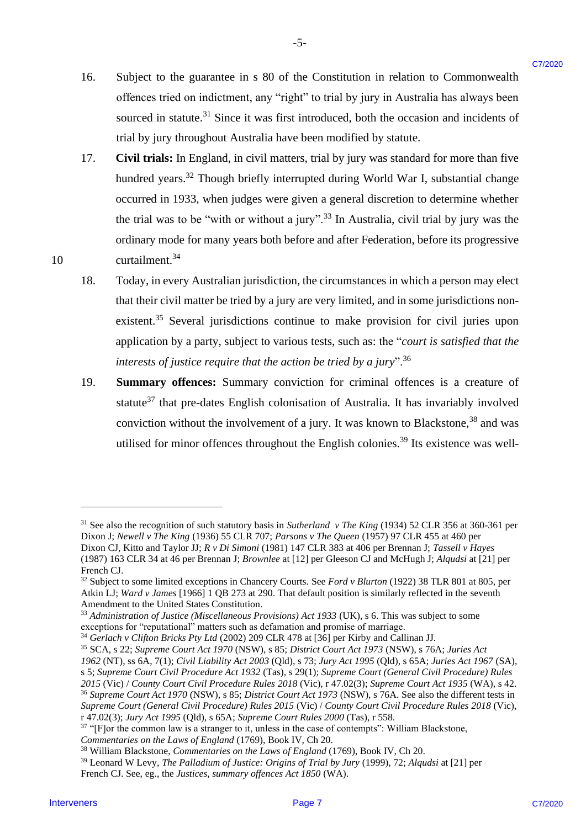16. Subject to the guarantee in s 80 of the Constitution in relation to Commonwealth Subject to the guarantee in <sup>s</sup> 80 of the Constitution in relation to Commonwealth offences tried on indictment, any "right" to trial by jury in Australia has always been offences tried on indictment, any "right" to trial by jury in Australia has always been sourced in statute. $^{31}$  Since it was first introduced, both the occasion and incidents of trial by jury throughout Australia have been modified by statute. trial by jury throughout Australia have been modified by statute. 16.

-5- -5-

- 17. Civil trials: In England, in civil matters, trial by jury was standard for more than five hundred years.<sup>32</sup> Though briefly interrupted during World War I, substantial change occurred in 1933, when judges were given a general discretion to determine whether occurred in 1933, when judges were given <sup>a</sup> general discretion to determine whether the trial was to be "with or without a jury".<sup>33</sup> In Australia, civil trial by jury was the ordinary mode for many years both before and after Federation, before its progressive ordinary mode for many years both before and after Federation, before its progressive 10 curtailment.<sup>34</sup> Interveners of parameters in a 80 of the Constitution in relation to Commonwealth<br>
collection in the method method in the system in the system and the system and the system of the system in the system in the system of the 17.
	- 18. Today, in every Australian jurisdiction, the circumstances in which a person may elect that their civil matter be tried by a jury are very limited, and in some jurisdictions nonexistent.<sup>35</sup> Several jurisdictions continue to make provision for civil juries upon application by a party, subject to various tests, such as: the "*court is satisfied that the*  application by <sup>a</sup> party, subject to various tests, such as: the "court is satisfied that the interests of justice require that the action be tried by a jury".<sup>36</sup> 18.
	- 19. **Summary offences:** Summary conviction for criminal offences is a creature of Summary offences: Summary conviction for criminal offences is a creature of statute<sup>37</sup> that pre-dates English colonisation of Australia. It has invariably involved conviction without the involvement of a jury. It was known to Blackstone,  $38$  and was utilised for minor offences throughout the English colonies.<sup>39</sup> Its existence was well-19.

 $31$  See also the recognition of such statutory basis in Sutherland v The King (1934) 52 CLR 356 at 360-361 per Dixon J; *Newell v The King* (1936) 55 CLR 707; *Parsons v The Queen* (1957) 97 CLR 455 at 460 per Dixon J; Newell v The King (1936) 55 CLR 707; Parsons v The Queen (1957) 97 CLR 455 at 460 per Dixon CJ, Kitto and Taylor JJ; *R v Di Simoni* (1981) 147 CLR 383 at 406 per Brennan J; *Tassell v Hayes* Dixon CJ, Kitto and Taylor JJ; R v Di Simoni (1981) 147 CLR 383 at 406 per Brennan J; Tassell v Hayes (1987) 163 CLR 34 at 46 per Brennan J; *Brownlee* at [12] per Gleeson CJ and McHugh J; *Alqudsi* at [21] per (1987) 163 CLR 34 at 46 per Brennan J; Brownlee at [12] per Gleeson CJ and McHugh J; Algudsi at [21] per French CJ. French CJ.

<sup>32</sup> Subject to some limited exceptions in Chancery Courts. See *Ford v Blurton* (1922) 38 TLR 801 at 805, per <sup>32</sup> Subject to some limited exceptions in Chancery Courts. See Ford v Blurton (1922) 38 TLR 801 at 805, per Atkin LJ; *Ward v James* [1966] 1 QB 273 at 290. That default position is similarly reflected in the seventh Atkin LJ; Ward v James [1966] 1 QB 273 at 290. That default position is similarly reflected in the seventh Amendment to the United States Constitution. Amendment to the United States Constitution.

<sup>&</sup>lt;sup>33</sup> Administration of Justice (Miscellaneous Provisions) Act 1933 (UK), s 6. This was subject to some exceptions for "reputational" matters such as defamation and promise of marriage. exceptions for "reputational" matters such as defamation and promise of marriage.

<sup>&</sup>lt;sup>34</sup> Gerlach v Clifton Bricks Pty Ltd (2002) 209 CLR 478 at [36] per Kirby and Callinan JJ.

<sup>35</sup> SCA, s 22; *Supreme Court Act 1970* (NSW), s 85; *District Court Act 1973* (NSW), s 76A; *Juries Act* <sup>35</sup> SCA, s 22; Supreme Court Act 1970 (NSW), s 85; District Court Act 1973 (NSW), s 76A; Juries Act

<sup>1962 (</sup>NT), ss 6A, 7(1); Civil Liability Act 2003 (Qld), s 73; Jury Act 1995 (Qld), s 65A; Juries Act 1967 (SA), s 5; Supreme Court Civil Procedure Act 1932 (Tas), s 29(1); Supreme Court (General Civil Procedure) Rules

<sup>2015 (</sup>Vic) / County Court Civil Procedure Rules 2018 (Vic), r 47.02(3); Supreme Court Act 1935 (WA), s 42.

<sup>&</sup>lt;sup>36</sup> Supreme Court Act 1970 (NSW), s 85; District Court Act 1973 (NSW), s 76A. See also the different tests in Supreme Court (General Civil Procedure) Rules 2015 (Vic) / County Court Civil Procedure Rules 2018 (Vic), r 47.02(3); *Jury Act 1995* (Qld), s 65A; *Supreme Court Rules 2000* (Tas), r 558. r 47.02(3); Jury Act 1995 (Qld), s 65A; Supreme Court Rules 2000 (Tas), r 558.

<sup>&</sup>lt;sup>37</sup> "[F]or the common law is a stranger to it, unless in the case of contempts": William Blackstone,

Commentaries on the Laws of England (1769), Book IV, Ch 20.

<sup>&</sup>lt;sup>38</sup> William Blackstone, *Commentaries on the Laws of England* (1769), Book IV, Ch 20.

<sup>&</sup>lt;sup>39</sup> Leonard W Levy, *The Palladium of Justice: Origins of Trial by Jury* (1999), 72; Alqudsi at [21] per

French CJ. See, eg., the *Justices, summary offences Act 1850* (WA). French CJ. See, eg., the Justices, summary offences Act 1850 (WA).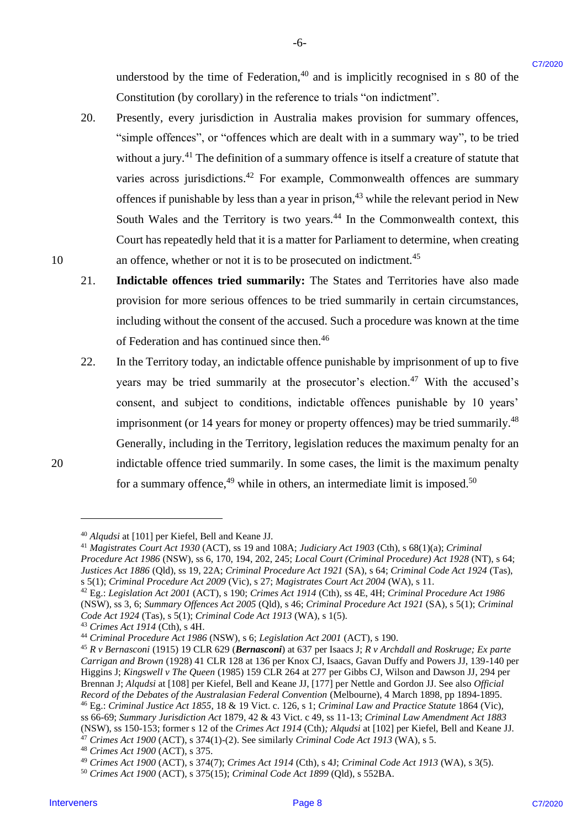understood by the time of Federation, $40$  and is implicitly recognised in s 80 of the Constitution (by corollary) in the reference to trials "on indictment". Constitution (by corollary) in the reference to trials "on indictment".

-6- -6-

- 20. Presently, every jurisdiction in Australia makes provision for summary offences, 20.Presently, every jurisdiction in Australia makes provision for summary offences, "simple offences", or "offences which are dealt with in a summary way", to be tried "simple offences', or "offences which are dealt with in <sup>a</sup> summary way", to be tried without a jury. $41$  The definition of a summary offence is itself a creature of statute that varies across jurisdictions.<sup>42</sup> For example, Commonwealth offences are summary offences if punishable by less than a year in prison,<sup>43</sup> while the relevant period in New South Wales and the Territory is two years.<sup>44</sup> In the Commonwealth context, this Court has repeatedly held that it is a matter for Parliament to determine, when creating Court has repeatedly held that it is <sup>a</sup> matter for Parliament to determine, when creating 10 an offence, whether or not it is to be prosecuted on indictment.<sup>45</sup> understood by the time of Federation.<sup>26</sup> and is implicitly exceptiond in 80 of the Coreal Coreal Constrainers (see production and the constrainers Coreal Coreal Coreal Coreal Coreal Coreal Coreal Coreal Coreal Coreal Cor
	- 21. **Indictable offences tried summarily:** The States and Territories have also made 21. Indictable offences tried summarily: The States and Territories have also made provision for more serious offences to be tried summarily in certain circumstances, provision for more serious offences to be tried summarily in certain circumstances, including without the consent of the accused. Such a procedure was known at the time including without the consent of the accused. Such a procedure was known at the time of Federation and has continued since then.<sup>46</sup>
- 22. In the Territory today, an indictable offence punishable by imprisonment of up to five years may be tried summarily at the prosecutor's election.<sup>47</sup> With the accused's consent, and subject to conditions, indictable offences punishable by 10 years' consent, and subject to conditions, indictable offences punishable by 10 years' imprisonment (or 14 years for money or property offences) may be tried summarily.<sup>48</sup> Generally, including in the Territory, legislation reduces the maximum penalty for an Generally, including in the Territory, legislation reduces the maximum penalty for an 20 indictable offence tried summarily. In some cases, the limit is the maximum penalty for a summary offence,  $49$  while in others, an intermediate limit is imposed.  $50$

<sup>47</sup> *Crimes Act 1900* (ACT), s 374(1)-(2). See similarly *Criminal Code Act 1913* (WA), s 5. <sup>47</sup> Crimes Act 1900 (ACT), s 374(1)-(2). See similarly Criminal Code Act 1913 (WA), s 5.

<sup>&</sup>lt;sup>40</sup> Alqudsi at [101] per Kiefel, Bell and Keane JJ.

<sup>&</sup>lt;sup>41</sup> Magistrates Court Act 1930 (ACT), ss 19 and 108A; Judiciary Act 1903 (Cth), s 68(1)(a); Criminal Procedure Act 1986 (NSW), ss 6, 170, 194, 202, 245; Local Court (Criminal Procedure) Act 1928 (NT), s 64; Justices Act 1886 (Qld), ss 19, 22A; Criminal Procedure Act 1921 (SA), s 64; Criminal Code Act 1924 (Tas), s 5(1); Criminal Procedure Act 2009 (Vic), s 27; Magistrates Court Act 2004 (WA), s 11.

<sup>&</sup>lt;sup>42</sup> Eg.: Legislation Act 2001 (ACT), s 190; Crimes Act 1914 (Cth), ss 4E, 4H; Criminal Procedure Act 1986 (NSW), ss 3, 6; Summary Offences Act 2005 (Qld), s 46; Criminal Procedure Act 1921 (SA), s 5(1); Criminal *Code Act 1924* (Tas), s 5(1); *Criminal Code Act 1913* (WA), s 1(5). Code Act 1924 (Tas), s 5(1); Criminal Code Act 1913 (WA), s 1(5).

<sup>43</sup> *Crimes Act 1914* (Cth), s 4H. \*®Crimes Act 1914 (Cth), <sup>s</sup> 4H.

<sup>&</sup>lt;sup>44</sup> Criminal Procedure Act 1986 (NSW), s 6; Legislation Act 2001 (ACT), s 190.

<sup>&</sup>lt;sup>45</sup> R v Bernasconi (1915) 19 CLR 629 (Bernasconi) at 637 per Isaacs J; R v Archdall and Roskruge; Ex parte *Carrigan and Brown* (1928) 41 CLR 128 at 136 per Knox CJ, Isaacs, Gavan Duffy and Powers JJ, 139-140 per Carrigan and Brown (1928) 41 CLR 128 at 136 per Knox CJ, Isaacs, Gavan Duffy and Powers JJ, 139-140 per Higgins J; *Kingswell v The Queen* (1985) 159 CLR 264 at 277 per Gibbs CJ, Wilson and Dawson JJ, 294 per Higgins J; Kingswell v The Queen (1985) 159 CLR 264 at 277 per Gibbs CJ, Wilson and Dawson JJ, 294 per Brennan J; Alqudsi at [108] per Kiefel, Bell and Keane JJ, [177] per Nettle and Gordon JJ. See also Official *Record of the Debates of the Australasian Federal Convention* (Melbourne), 4 March 1898, pp 1894-1895. Record of the Debates of the Australasian Federal Convention (Melbourne), 4 March 1898, pp 1894-1895.

<sup>&</sup>lt;sup>46</sup> Eg.: Criminal Justice Act 1855, 18 & 19 Vict. c. 126, s 1; Criminal Law and Practice Statute 1864 (Vic), ss 66-69; Summary Jurisdiction Act 1879, 42 & 43 Vict. c 49, ss 11-13; Criminal Law Amendment Act 1883 (NSW), ss 150-153; former s 12 of the Crimes Act 1914 (Cth); Alqudsi at [102] per Kiefel, Bell and Keane JJ.

<sup>48</sup> *Crimes Act 1900* (ACT), s 375. <sup>48</sup> Crimes Act 1900 (ACT), <sup>s</sup> 375.

<sup>49</sup> *Crimes Act 1900* (ACT), s 374(7); *Crimes Act 1914* (Cth), s 4J; *Criminal Code Act 1913* (WA), s 3(5). \* Crimes Act 1900 (ACT), s 374(7); Crimes Act 1914 (Cth), s 4J; Criminal Code Act 1913 (WA), s 3(5).

<sup>50</sup> *Crimes Act 1900* (ACT), s 375(15); *Criminal Code Act 1899* (Qld), s 552BA. °° Crimes Act 1900 (ACT), s 375(15); Criminal Code Act 1899 (Qld), s 552BA.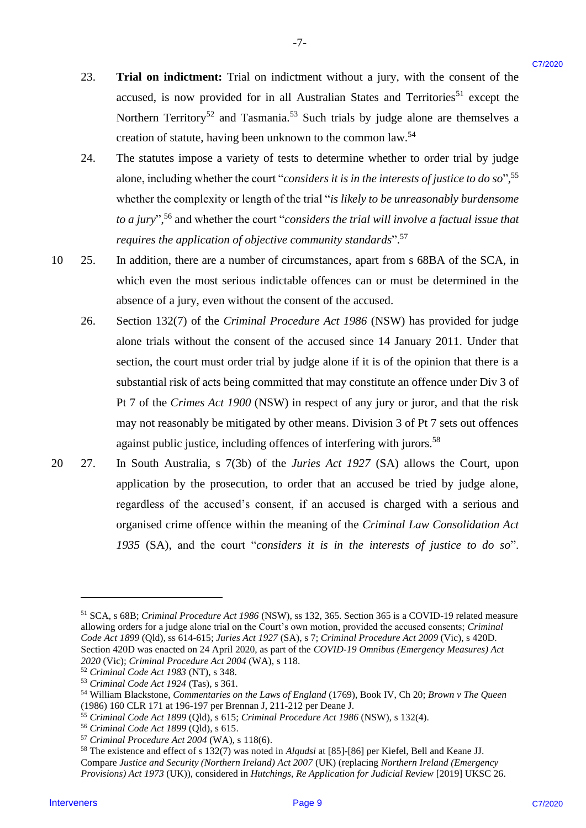23. **Trial on indictment:** Trial on indictment without a jury, with the consent of the accused, is now provided for in all Australian States and Territories<sup>51</sup> except the Northern Territory<sup>52</sup> and Tasmania.<sup>53</sup> Such trials by judge alone are themselves a creation of statute, having been unknown to the common law.<sup>54</sup> 23.

-7- -7-

- 24. The statutes impose a variety of tests to determine whether to order trial by judge The statutes impose <sup>a</sup> variety of tests to determine whether to order trial by judge alone, including whether the court "*considers it is in the interests of justice to do so*",<sup>55</sup> whether the complexity or length of the trial "*is likely to be unreasonably burdensome*  whether the complexity or length of the trial "is likely to be unreasonably burdensome to a jury",<sup>56</sup> and whether the court "*considers the trial will involve a factual issue that* requires the application of objective community standards".<sup>57</sup> 24.
- 10 25. In addition, there are a number of circumstances, apart from s 68BA of the SCA, in which even the most serious indictable offences can or must be determined in the which even the most serious indictable offences can or must be determined in the absence of a jury, even without the consent of the accused. absence of <sup>a</sup> jury, even without the consent of the accused. 10 25.
- 26. Section 132(7) of the *Criminal Procedure Act 1986* (NSW) has provided for judge alone trials without the consent of the accused since 14 January 2011. Under that alone trials without the consent of the accused since 14 January 2011. Under that section, the court must order trial by judge alone if it is of the opinion that there is a substantial risk of acts being committed that may constitute an offence under Div 3 of substantial risk of acts being committed that may constitute an offence under Div <sup>3</sup> of Pt 7 of the *Crimes Act 1900* (NSW) in respect of any jury or juror, and that the risk Pt 7 of the Crimes Act 1900 (NSW) in respect of any jury or juror, and that the risk may not reasonably be mitigated by other means. Division 3 of Pt 7 sets out offences may not reasonably be mitigated by other means. Division <sup>3</sup> of Pt 7 sets out offences against public justice, including offences of interfering with jurors.<sup>58</sup> 23. **Trial on indictment:** Trial on indictmant without a jary, with the consist of the measure of the measure in the measure in the methods <sup>2</sup> term in the consistent of the measure in the methods<sup>2</sup> reserve the energy of 26.
- 20 27. In South Australia, s 7(3b) of the *Juries Act 1927* (SA) allows the Court, upon In South Australia, <sup>s</sup> 7(3b) of the Juries Act 1927 (SA) allows the Court, upon application by the prosecution, to order that an accused be tried by judge alone, application by the prosecution, to order that an accused be tried by judge alone, regardless of the accused's consent, if an accused is charged with a serious and organised crime offence within the meaning of the *Criminal Law Consolidation Act 1935* (SA), and the court "*considers it is in the interests of justice to do so*". 1935 (SA), and the court "considers it is in the interests of justice to do so". 20 27.

<sup>58</sup> The existence and effect of s 132(7) was noted in *Alqudsi* at [85]-[86] per Kiefel, Bell and Keane JJ. 8 The existence and effect of s 132(7) was noted in Alqudsi at [85]-[86] per Kiefel, Bell and Keane JJ.

<sup>&</sup>lt;sup>51</sup> SCA, s 68B; *Criminal Procedure Act 1986* (NSW), ss 132, 365. Section 365 is a COVID-19 related measure allowing orders for a judge alone trial on the Court's own motion, provided the accused consents; *Criminal*  allowing orders for a judge alone trial on the Court's own motion, provided the accused consents; Criminal Code Act 1899 (Qld), ss 614-615; Juries Act 1927 (SA), s 7; Criminal Procedure Act 2009 (Vic), s 420D. Section 420D was enacted on 24 April 2020, as part of the *COVID-19 Omnibus (Emergency Measures) Act*  Section 420D was enacted on 24 April 2020, as part of the COVID-19 Omnibus (Emergency Measures) Act 2020 (Vic); *Criminal Procedure Act 2004* (WA), s 118.

<sup>52</sup> *Criminal Code Act 1983* (NT), s 348. >? Criminal Code Act 1983 (NT), s 348.

<sup>53</sup> *Criminal Code Act 1924* (Tas)*,* s 361. 3 Criminal Code Act 1924 (Tas), s 361.

<sup>&</sup>lt;sup>54</sup> William Blackstone, *Commentaries on the Laws of England* (1769), Book IV, Ch 20; *Brown v The Queen* (1986) 160 CLR 171 at 196-197 per Brennan J, 211-212 per Deane J. (1986) 160 CLR 171 at 196-197 per Brennan J, 211-212 per Deane J.

<sup>55</sup> *Criminal Code Act 1899* (Qld), s 615; *Criminal Procedure Act 1986* (NSW), s 132(4). > Criminal Code Act 1899 (Qld), s 615; Criminal Procedure Act 1986 (NSW), s 132(4).

<sup>56</sup> *Criminal Code Act 1899* (Qld), s 615. °° Criminal Code Act 1899 (Qld), <sup>s</sup> 615.

<sup>57</sup> *Criminal Procedure Act 2004* (WA), s 118(6). 7 Criminal Procedure Act 2004 (WA), <sup>s</sup> 118(6).

Compare *Justice and Security (Northern Ireland) Act 2007* (UK) (replacing *Northern Ireland (Emergency*  Compare Justice and Security (Northern Ireland) Act 2007 (UK) (replacing Northern Ireland (Emergency Provisions) Act 1973 (UK)), considered in *Hutchings, Re Application for Judicial Review* [2019] UKSC 26.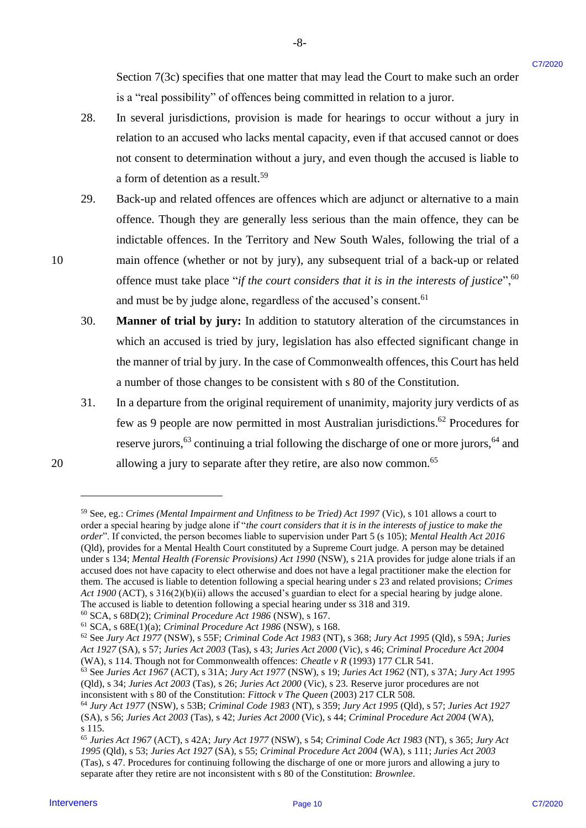Section 7(3c) specifies that one matter that may lead the Court to make such an order is a "real possibility" of offences being committed in relation to a juror. is a "real possibility" of offences being committed in relation toa juror.

28. In several jurisdictions, provision is made for hearings to occur without a jury in relation to an accused who lacks mental capacity, even if that accused cannot or does relation to an accused who lacks mental capacity, even ifthat accused cannot or does not consent to determination without a jury, and even though the accused is liable to not consent to determination without <sup>a</sup> jury, and even though the accused is liable to a form of detention as a result.<sup>59</sup>

-8- -8-

- 29. Back-up and related offences are offences which are adjunct or alternative to a main offence. Though they are generally less serious than the main offence, they can be offence. Though they are generally less serious than the main offence, they can be indictable offences. In the Territory and New South Wales, following the trial of a indictable offences. In the Territory and New South Wales, following the trial of <sup>a</sup> 10 main offence (whether or not by jury), any subsequent trial of a back-up or related offence must take place "if the court considers that it is in the interests of justice",<sup>60</sup> and must be by judge alone, regardless of the accused's consent. 61 and must be by judge alone, regardless of the accused's consent.°! Section 7(3c) specifies that one matter that any lead the Court to make such an order<br>
1s. A revently provided in the method in matter for the court of the court of the such and<br>
1s. A revently interesting the method in t
	- 30. **Manner of trial by jury:** In addition to statutory alteration of the circumstances in which an accused is tried by jury, legislation has also effected significant change in which an accused is tried by jury, legislation has also effected significant change in the manner of trial by jury. In the case of Commonwealth offences, this Court has held the manner oftrial by jury. In the case of Commonwealth offences, this Court has held a number of those changes to be consistent with s 80 of the Constitution. a number of those changes to be consistent with <sup>s</sup> 80 of the Constitution.
- 31. In a departure from the original requirement of unanimity, majority jury verdicts of as 31. Ina departure from the original requirement of unanimity, majority jury verdicts of as few as 9 people are now permitted in most Australian jurisdictions. <sup>62</sup> Procedures for few as 9 people are now permitted in most Australian jurisdictions.©\* Procedures for reserve jurors,<sup>63</sup> continuing a trial following the discharge of one or more jurors,<sup>64</sup> and 20 allowing a jury to separate after they retire, are also now common.<sup>65</sup>

<sup>&</sup>lt;sup>59</sup> See, eg.: *Crimes (Mental Impairment and Unfitness to be Tried) Act 1997 (Vic)*, s 101 allows a court to order a special hearing by judge alone if "the court considers that it is in the interests of justice to make the order". If convicted, the person becomes liable to supervision under Part 5 (s 105); Mental Health Act 2016 (Qld), provides for a Mental Health Court constituted by a Supreme Court judge. A person may be detained (Qld), provides for a Mental Health Court constituted by a Supreme Court judge. A person may be detained under s 134; *Mental Health (Forensic Provisions) Act 1990* (NSW), s 21A provides for judge alone trials if an under <sup>s</sup> 134; Mental Health (Forensic Provisions) Act 1990(NSW), <sup>s</sup> 21A provides for judge alone trials if an accused does not have capacity to elect otherwise and does not have a legal practitioner make the election for accused does not have capacity to elect otherwise and does not have a legal practitioner make the election for them. The accused is liable to detention following a special hearing under s 23 and related provisions; Crimes Act 1900 (ACT), s 316(2)(b)(ii) allows the accused's guardian to elect for a special hearing by judge alone. The accused is liable to detention following a special hearing under ss 318 and 319. The accused is liable to detention following a special hearing under ss 318 and 319.

<sup>60</sup> SCA, s 68D(2); *Criminal Procedure Act 1986* (NSW), s 167. <sup>69</sup> SCA, s 68D(2); Criminal Procedure Act 1986(NSW), <sup>s</sup> 167.

<sup>61</sup> SCA, s 68E(1)(a); *Criminal Procedure Act 1986* (NSW), s 168. 6! SCA, s 68E(1)(a); Criminal Procedure Act 1986(NSW), <sup>s</sup> 168.

<sup>&</sup>lt;sup>62</sup> See Jury Act 1977 (NSW), s 55F; Criminal Code Act 1983 (NT), s 368; Jury Act 1995 (Qld), s 59A; Juries Act 1927 (SA), s 57; Juries Act 2003 (Tas), s 43; Juries Act 2000 (Vic), s 46; Criminal Procedure Act 2004 (WA), s 114. Though not for Commonwealth offences: *Cheatle v R* (1993) 177 CLR 541. (WA), s 114. Though not for Commonwealth offences: Cheatle v R (1993) 177 CLR 541.

 $^{63}$  See Juries Act 1967 (ACT), s 31A; Jury Act 1977 (NSW), s 19; Juries Act 1962 (NT), s 37A; Jury Act 1995 (Qld), s 34; *Juries Act 2003* (Tas), s 26; *Juries Act 2000* (Vic), s 23. Reserve juror procedures are not (Qld), s 34; Juries Act 2003 (Tas), s 26; Juries Act 2000 (Vic), s 23. Reserve juror procedures are not inconsistent with s 80 of the Constitution: *Fittock v The Queen* (2003) 217 CLR 508. inconsistent with s 80 of the Constitution: Fittock v The Queen (2003) 217 CLR 508.

<sup>&</sup>lt;sup>64</sup> Jury Act 1977 (NSW), s 53B; Criminal Code 1983 (NT), s 359; Jury Act 1995 (Qld), s 57; Juries Act 1927 (SA), s 56; Juries Act 2003 (Tas), s 42; Juries Act 2000 (Vic), s 44; Criminal Procedure Act 2004 (WA), s 115. s115.

<sup>&</sup>lt;sup>65</sup> Juries Act 1967 (ACT), s 42A; Jury Act 1977 (NSW), s 54; Criminal Code Act 1983 (NT), s 365; Jury Act 1995 (Qld), s 53; Juries Act 1927 (SA), s 55; Criminal Procedure Act 2004 (WA), s 111; Juries Act 2003 (Tas), s 47. Procedures for continuing following the discharge of one or more jurors and allowing a jury to (Tas), s47. Procedures for continuing following the discharge ofone or more jurors and allowing ajury to separate after they retire are not inconsistent with s 80 of the Constitution: *Brownlee*.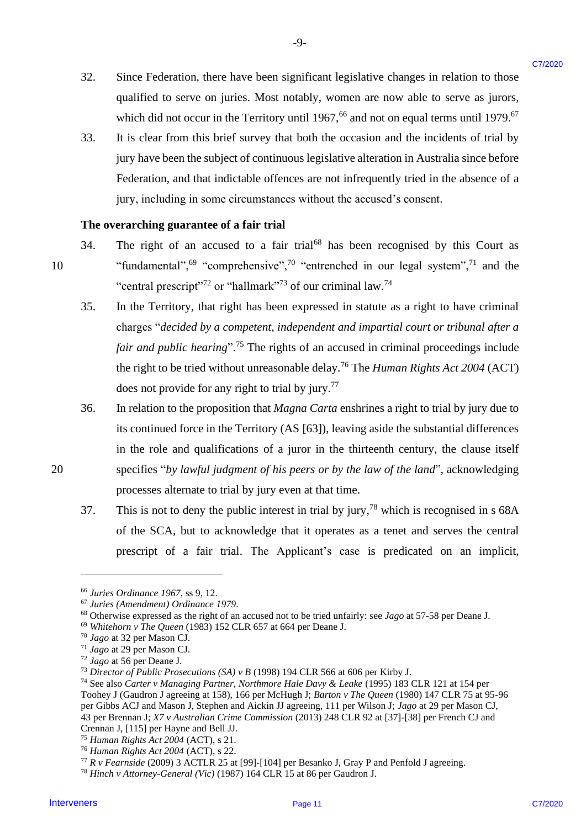32. Since Federation, there have been significant legislative changes in relation to those Since Federation, there have been significant legislative changes in relation to those qualified to serve on juries. Most notably, women are now able to serve as jurors, qualified to serve on juries. Most notably, women are now able to serve as jurors, which did not occur in the Territory until  $1967$ , <sup>66</sup> and not on equal terms until  $1979$ .<sup>67</sup> 32.

-9- -9-

33. It is clear from this brief survey that both the occasion and the incidents of trial by It is clear from this brief survey that both the occasion andthe incidents of trial by jury have been the subject of continuous legislative alteration in Australia since before jury have been the subject of continuous legislative alteration in Australia since before Federation, and that indictable offences are not infrequently tried in the absence of a Federation, and that indictable offences are not infrequently tried in the absence of <sup>a</sup> jury, including in some circumstances without the accused's consent. jury, including in some circumstances without the accused's consent. 33.

### **The overarching guarantee of a fair trial** The overarching guarantee of afair trial

- 34. The right of an accused to a fair trial<sup>68</sup> has been recognised by this Court as 10 ""fundamental",<sup>69</sup> "comprehensive",<sup>70</sup> "entrenched in our legal system",<sup>71</sup> and the "central prescript"<sup>72</sup> or "hallmark"<sup>73</sup> of our criminal law.<sup>74</sup> 34.
- 35. In the Territory, that right has been expressed in statute as a right to have criminal In the Territory, that right has been expressed in statute as <sup>a</sup> right to have criminal charges "*decided by a competent, independent and impartial court or tribunal after a*  charges "decided by a competent, independent and impartial court or tribunal after a fair and public hearing".<sup>75</sup> The rights of an accused in criminal proceedings include the right to be tried without unreasonable delay.<sup>76</sup> The *Human Rights Act 2004* (ACT) does not provide for any right to trial by jury. 77 does not provide for any right to trial by jury."' 32. Since Federation, there have been significant legislative changes in relation to these the servers of priors. Moreovers a present the servers of the servers of the servers of the servers of the servers control in the 35.
- 36. In relation to the proposition that *Magna Carta* enshrines a right to trial by jury due to In relation to the proposition that Magna Carta enshrinesaright to trial by jurydue to its continued force in the Territory (AS [63]), leaving aside the substantial differences its continued force in the Territory (AS [63]), leaving aside the substantial differences in the role and qualifications of a juror in the thirteenth century, the clause itself in the role and qualifications of <sup>a</sup> juror in the thirteenth century, the clause itself 20 specifies "by lawful judgment of his peers or by the law of the land", acknowledging processes alternate to trial by jury even at that time. processes alternate to trial by jury even at that time. 36.
	- 37. This is not to deny the public interest in trial by jury,<sup>78</sup> which is recognised in s  $68A$ of the SCA, but to acknowledge that it operates as a tenet and serves the central of the SCA, but to acknowledge that it operates as <sup>a</sup> tenet and serves the central prescript of a fair trial. The Applicant's case is predicated on an implicit, prescript of a fair trial. The Applicant's case is predicated on an implicit, 37.

<sup>66</sup> *Juries Ordinance 1967*, ss 9, 12. <sup>66</sup> Juries Ordinance 1967, ss 9, 12.

<sup>67</sup> *Juries (Amendment) Ordinance 1979*. 67Juries (Amendment) Ordinance1979.

<sup>&</sup>lt;sup>68</sup> Otherwise expressed as the right of an accused not to be tried unfairly: see *Jago* at 57-58 per Deane J.

<sup>69</sup> *Whitehorn v The Queen* (1983) 152 CLR 657 at 664 per Deane J. 6° Whitehorn v The Queen (1983) 152 CLR 657 at 664 per Deane J.

<sup>70</sup> *Jago* at 32 per Mason CJ. Jago at 32 per Mason CJ.

<sup>71</sup> *Jago* at 29 per Mason CJ. 1 Jago at 29 per Mason CJ.

<sup>72</sup> *Jago* at 56 per Deane J. Jago at 56 per Deane J.

<sup>&</sup>lt;sup>73</sup> Director of Public Prosecutions (SA) v B (1998) 194 CLR 566 at 606 per Kirby J.

<sup>&</sup>lt;sup>74</sup> See also Carter v Managing Partner, Northmore Hale Davy & Leake (1995) 183 CLR 121 at 154 per Toohey J (Gaudron J agreeing at 158), 166 per McHugh J; *Barton v The Queen* (1980) 147 CLR 75 at 95-96 Toohey <sup>J</sup> (Gaudron <sup>J</sup> agreeing at 158), 166 per McHugh J; Barton v The Queen (1980) 147 CLR 75 at 95-96 per Gibbs ACJ and Mason J, Stephen and Aickin JJ agreeing, 111 per Wilson J; *Jago* at 29 per Mason CJ, 43 per Brennan J; *X7 v Australian Crime Commission* (2013) 248 CLR 92 at [37]-[38] per French CJ and 43 per Brennan J; X7 v Australian Crime Commission (2013) 248 CLR 92 at [37]-[38] per French CJ and Crennan J, [115] per Hayne and Bell JJ. Crennan J, [115] per Hayne and Bell JJ.

<sup>75</sup> *Human Rights Act 2004* (ACT), s 21. Human Rights Act 2004 (ACT), <sup>s</sup> 21.

<sup>&</sup>lt;sup>76</sup> Human Rights Act 2004 (ACT), s 22.

 $^{77}$  R v Fearnside (2009) 3 ACTLR 25 at [99]-[104] per Besanko J, Gray P and Penfold J agreeing.

<sup>78</sup> *Hinch v Attorney-General (Vic)* (1987) 164 CLR 15 at 86 per Gaudron J. <sup>78</sup> Hinch v Attorney-General (Vic) (1987) 164 CLR <sup>15</sup> at 86 per Gaudron J.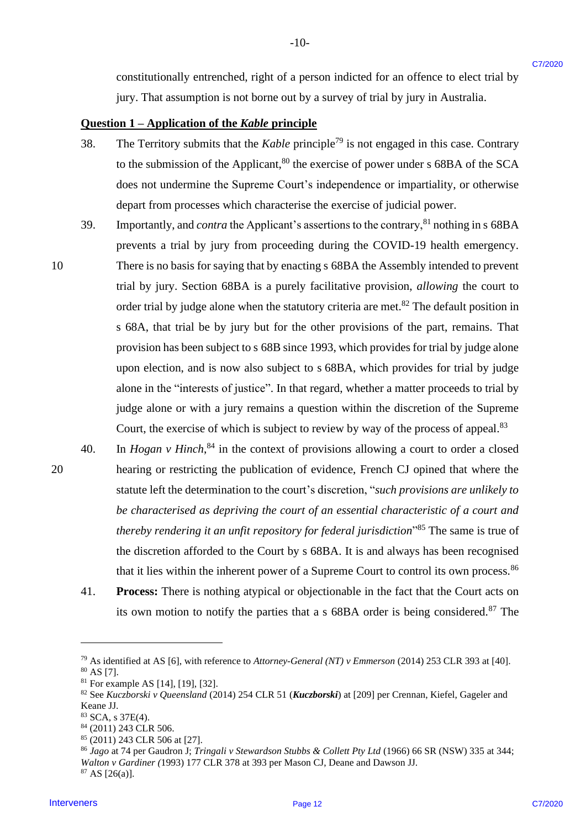constitutionally entrenched, right of a person indicted for an offence to elect trial by constitutionally entrenched, right of <sup>a</sup> person indicted for an offence to elect trial by jury. That assumption is not borne out by a survey of trial by jury in Australia. jury. That assumption is not borne out by <sup>a</sup> survey of trial by jury in Australia.

-10- -10-

### **Question 1 – Application of the** *Kable* **principle** Question <sup>1</sup> —Application of the Kable principle

- 38. The Territory submits that the *Kable* principle<sup>79</sup> is not engaged in this case. Contrary to the submission of the Applicant, ${}^{80}$  the exercise of power under s 68BA of the SCA does not undermine the Supreme Court's independence or impartiality, or otherwise depart from processes which characterise the exercise of judicial power. depart from processes which characterise the exercise of judicial power. 38.
- 39. Importantly, and *contra* the Applicant's assertions to the contrary,<sup>81</sup> nothing in s 68BA prevents a trial by jury from proceeding during the COVID-19 health emergency. prevents <sup>a</sup> trial by jury from proceeding during the COVID-19 health emergency. 39,
- 10 There is no basis for saying that by enacting s 68BA the Assembly intended to prevent There is no basis for saying that by enacting <sup>s</sup> 68BA the Assembly intended to prevent trial by jury. Section 68BA is a purely facilitative provision, *allowing* the court to trial by jury. Section 68BA is a purely facilitative provision, allowing the court to order trial by judge alone when the statutory criteria are met.<sup>82</sup> The default position in s 68A, that trial be by jury but for the other provisions of the part, remains. That <sup>s</sup> 68A, that trial be by jury but for the other provisions of the part, remains. That provision has been subject to s 68B since 1993, which provides for trial by judge alone provision has been subject to <sup>s</sup> 68B since 1993, which provides for trial by judge alone upon election, and is now also subject to s 68BA, which provides for trial by judge upon election, and is now also subject to <sup>s</sup> 68BA, which provides for trial by judge alone in the "interests of justice". In that regard, whether a matter proceeds to trial by alone in the "interests of justice'. In that regard, whether a matter proceeds to trial by judge alone or with a jury remains a question within the discretion of the Supreme judge alone or with <sup>a</sup> jury remains <sup>a</sup> question within the discretion of the Supreme Court, the exercise of which is subject to review by way of the process of appeal.<sup>83</sup> constitutionally entreached, right of a paron indiced for an offence to clear trial by<br>
Jury 17-17 and supplied the Mole between the 19 a survey of trial by jury in America.<br> **Question 1- Argelierities of the Kole princip** 10
- 40. In *Hogan v Hinch*,<sup>84</sup> in the context of provisions allowing a court to order a closed 20 hearing or restricting the publication of evidence, French CJ opined that where the hearing or restricting the publication of evidence, French CJ opined that where the statute left the determination to the court's discretion, "*such provisions are unlikely to*  statute left the determination to the court's discretion, "such provisions are unlikely to be characterised as depriving the court of an essential characteristic of a court and *thereby rendering it an unfit repository for federal jurisdiction*<sup>385</sup> The same is true of the discretion afforded to the Court by s 68BA. It is and always has been recognised the discretion afforded to the Court by <sup>s</sup> 68BA. It is and always has been recognised that it lies within the inherent power of a Supreme Court to control its own process.<sup>86</sup> 40.
	- 41. **Process:** There is nothing atypical or objectionable in the fact that the Court acts on Process: There is nothing atypical or objectionable in the fact that the Court acts on its own motion to notify the parties that a s 68BA order is being considered.<sup>87</sup> The 41.

<sup>87</sup> AS [26(a)]. <sup>87</sup> AS [26(a)].

<sup>79</sup> As identified at AS [6], with reference to *Attorney-General (NT) v Emmerson* (2014) 253 CLR 393 at [40]. As identified at AS [6], with reference to Attorney-General (NT) v Emmerson (2014) 253 CLR 393 at [40]. <sup>80</sup> AS [7]. 8° AS [7].

 $81$  For example AS [14], [19], [32].

<sup>82</sup> See *Kuczborski v Queensland* (2014) 254 CLR 51 (*Kuczborski*) at [209] per Crennan, Kiefel, Gageler and 82See Kuczborski <sup>v</sup> Queensland (2014) 254 CLR 51 (Kuczborski) at [209] per Crennan, Kiefel, Gageler and Keane JJ. Keane JJ.

<sup>83</sup> SCA, s 37E(4). <sup>83</sup> SCA, s 37E(4).

<sup>84</sup> (2011) 243 CLR 506. <sup>84</sup> (2011) 243 CLR 506.

<sup>85</sup> (2011) 243 CLR 506 at [27]. <sup>85</sup> (2011) 243 CLR 506 at [27].

<sup>&</sup>lt;sup>86</sup> Jago at 74 per Gaudron J; Tringali v Stewardson Stubbs & Collett Pty Ltd (1966) 66 SR (NSW) 335 at 344; *Walton v Gardiner (*1993) 177 CLR 378 at 393 per Mason CJ, Deane and Dawson JJ. Walton v Gardiner (1993) 177 CLR 378 at 393 per Mason CJ, Deane and Dawson JJ.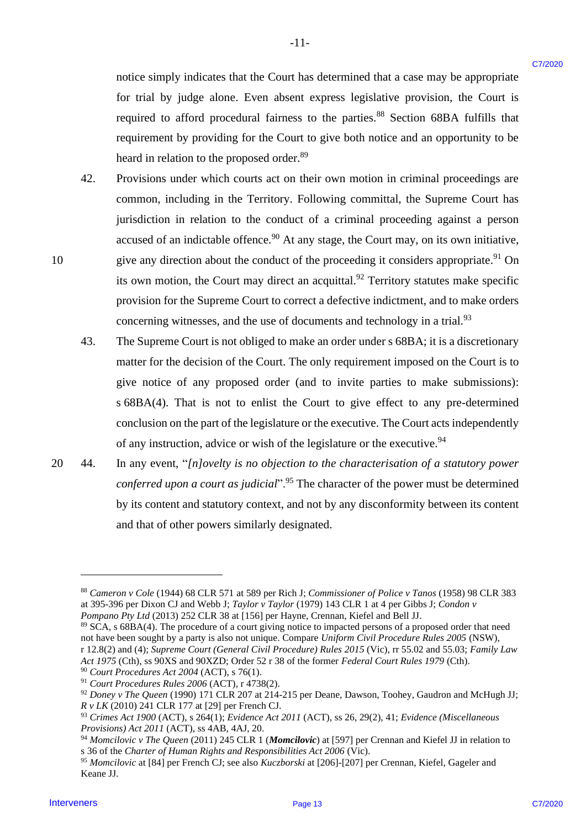notice simply indicates that the Court has determined that a case may be appropriate notice simply indicates that the Court has determined that <sup>a</sup> case may be appropriate for trial by judge alone. Even absent express legislative provision, the Court is for trial by judge alone. Even absent express legislative provision, the Court is required to afford procedural fairness to the parties.<sup>88</sup> Section 68BA fulfills that requirement by providing for the Court to give both notice and an opportunity to be requirement by providing for the Court to give both notice and an opportunity to be heard in relation to the proposed order.<sup>89</sup>

- 42. Provisions under which courts act on their own motion in criminal proceedings are 42. Provisions under which courts act on their own motion in criminal proceedings are common, including in the Territory. Following committal, the Supreme Court has common, including in the Territory. Following committal, the Supreme Court has jurisdiction in relation to the conduct of a criminal proceeding against a person accused of an indictable offence.<sup>90</sup> At any stage, the Court may, on its own initiative, 10 give any direction about the conduct of the proceeding it considers appropriate.<sup>91</sup> On its own motion, the Court may direct an acquittal.<sup>92</sup> Territory statutes make specific provision for the Supreme Court to correct a defective indictment, and to make orders provision for the Supreme Court to correct <sup>a</sup> defective indictment, and to make orders concerning witnesses, and the use of documents and technology in a trial.<sup>93</sup> noise simply indicates that the Court has determined that a case may be approprints for their by independent of the two model interveners light doing is the court is the model intervene in the court of the court is predic
	- 43. The Supreme Court is not obliged to make an order under s 68BA; it is a discretionary 43. The Supreme Court is not obliged to make an order under <sup>s</sup> 68BA; it is adiscretionary matter for the decision of the Court. The only requirement imposed on the Court is to matter for the decision of the Court. The only requirement imposed on the Court is to give notice of any proposed order (and to invite parties to make submissions): give notice of any proposed order (and to invite parties to make submissions): s 68BA(4). That is not to enlist the Court to give effect to any pre-determined <sup>s</sup> 68BA(4). That is not to enlist the Court to give effect to any pre-determined conclusion on the part of the legislature or the executive. The Court acts independently conclusion on the part of the legislature or the executive. The Court acts independently of any instruction, advice or wish of the legislature or the executive.<sup>94</sup>
- 20 44. In any event, "*[n]ovelty is no objection to the characterisation of a statutory power*  20 44. In any event, "/n/ovelty is no objection to the characterisation of a statutory power conferred upon a court as judicial".<sup>95</sup> The character of the power must be determined by its content and statutory context, and not by any disconformity between its content by its content and statutory context, and not by any disconformity between its content and that of other powers similarly designated. and that of other powers similarly designated.

<sup>88</sup> *Cameron v Cole* (1944) 68 CLR 571 at 589 per Rich J; *Commissioner of Police v Tanos* (1958) 98 CLR 383 <sup>88</sup> Cameron v Cole (1944) 68 CLR 571 at 589 per Rich J; Commissioner of Police v Tanos (1958) 98 CLR 383 at 395-396 per Dixon CJ and Webb J; *Taylor v Taylor* (1979) 143 CLR 1 at 4 per Gibbs J; *Condon v*  at 395-396 per Dixon CJ and Webb J; Taylor v Taylor (1979) 143 CLR | at 4 per Gibbs J; Condon v *Pompano Pty Ltd* (2013) 252 CLR 38 at [156] per Hayne, Crennan, Kiefel and Bell JJ. Pompano Pty Ltd(2013) 252 CLR 38 at [156] per Hayne, Crennan, Kiefel and Bell JJ.

<sup>89</sup> SCA, s 68BA(4). The procedure of a court giving notice to impacted persons of a proposed order that need <sup>89</sup> SCA, s 68BA(4). The procedure of a court giving notice to impacted persons of a proposed order that need not have been sought by a party is also not unique. Compare *Uniform Civil Procedure Rules 2005* (NSW), not have been sought by a party is also not unique. Compare Uniform Civil Procedure Rules 2005 (NSW), r 12.8(2) and (4); Supreme Court (General Civil Procedure) Rules 2015 (Vic), rr 55.02 and 55.03; Family Law *Act 1975* (Cth), ss 90XS and 90XZD; Order 52 r 38 of the former *Federal Court Rules 1979* (Cth). Act 1975 (Cth), ss 90XS and 90XZD; Order 52 r 38 of the former Federal Court Rules 1979(Cth).

<sup>90</sup> *Court Procedures Act 2004* (ACT), s 76(1). °° Court Procedures Act 2004 (ACT), s 76(1).

<sup>&</sup>lt;sup>91</sup> Court Procedures Rules 2006 (ACT), r 4738(2).

<sup>92</sup> *Doney v The Queen* (1990) 171 CLR 207 at 214-215 per Deane, Dawson, Toohey, Gaudron and McHugh JJ; °2 Doney <sup>v</sup> The Queen (1990) 171 CLR 207 at 214-215 per Deane, Dawson, Toohey, Gaudron and McHugh JJ; *R v LK* (2010) 241 CLR 177 at [29] per French CJ. Rv LK (2010) 241 CLR 177 at [29] per French CJ.

 $93$  Crimes Act 1900 (ACT), s 264(1); Evidence Act 2011 (ACT), ss 26, 29(2), 41; Evidence (Miscellaneous *Provisions) Act 2011* (ACT), ss 4AB, 4AJ, 20. Provisions) Act 2011 (ACT), ss 4AB, 4AJ, 20.

<sup>&</sup>lt;sup>94</sup> Momcilovic v The Queen (2011) 245 CLR 1 (Momcilovic) at [597] per Crennan and Kiefel JJ in relation to s 36 of the Charter of Human Rights and Responsibilities Act 2006 (Vic).

<sup>&</sup>lt;sup>95</sup> Momcilovic at [84] per French CJ; see also *Kuczborski* at [206]-[207] per Crennan, Kiefel, Gageler and Keane JJ. Keane JJ.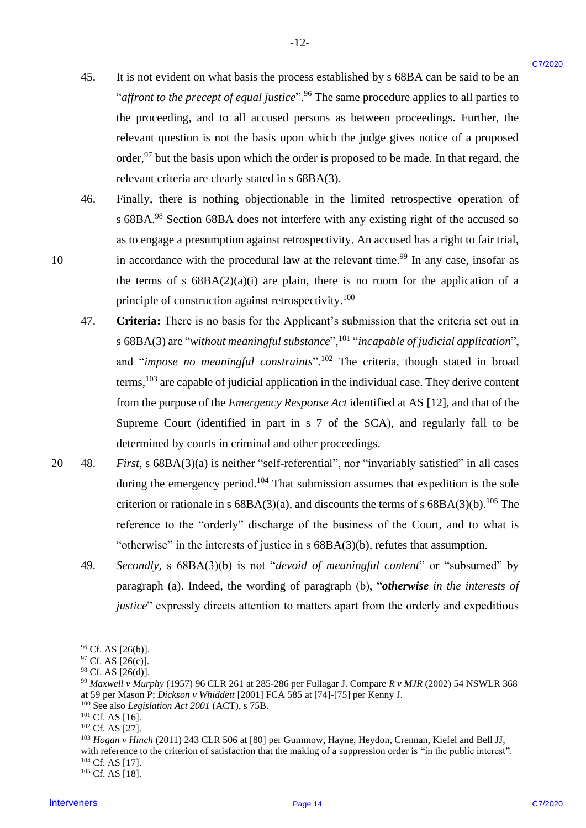45. It is not evident on what basis the process established by s 68BA can be said to be an It is not evident on what basis the process established by <sup>s</sup> 68BA can be said to be an "*affront to the precept of equal justice*".<sup>96</sup> The same procedure applies to all parties to the proceeding, and to all accused persons as between proceedings. Further, the the proceeding, and to all accused persons as between proceedings. Further, the relevant question is not the basis upon which the judge gives notice of a proposed order,<sup>97</sup> but the basis upon which the order is proposed to be made. In that regard, the relevant criteria are clearly stated in s 68BA(3). relevant criteria are clearly stated in <sup>s</sup> 68BA(3). 4S.

 $-12-$ 

- 46. Finally, there is nothing objectionable in the limited retrospective operation of Finally, there is nothing objectionable in the limited retrospective operation of s 68BA.<sup>98</sup> Section 68BA does not interfere with any existing right of the accused so as to engage a presumption against retrospectivity. An accused has a right to fair trial, as to engage a presumption against retrospectivity. An accused has aright to fair trial, 10 in accordance with the procedural law at the relevant time.<sup>99</sup> In any case, insofar as the terms of s  $68BA(2)(a)(i)$  are plain, there is no room for the application of a principle of construction against retrospectivity.<sup>100</sup> 46.
- 47. **Criteria:** There is no basis for the Applicant's submission that the criteria set out in Criteria: There is no basis for the Applicant's submission that the criteria set out in s 68BA(3) are "without meaningful substance",<sup>101</sup> "incapable of judicial application", and "*impose no meaningful constraints*".<sup>102</sup> The criteria, though stated in broad terms, <sup>103</sup> are capable of judicial application in the individual case. They derive content from the purpose of the *Emergency Response Act* identified at AS [12], and that of the from the purpose of the Emergency Response Act identified at AS [12], and that of the Supreme Court (identified in part in s 7 of the SCA), and regularly fall to be Supreme Court (identified in part in <sup>s</sup> 7 of the SCA), and regularly fall to be determined by courts in criminal and other proceedings. determined by courts in criminal and other proceedings. 15. It is not evident on what basis the process evaluationed by s 688A can be said to be an "advantatione of the process of the content of the said to be an "advantation" of the content of the material content applies to 47.
- 20 48. *First*, s 68BA(3)(a) is neither "self-referential", nor "invariably satisfied" in all cases during the emergency period.<sup>104</sup> That submission assumes that expedition is the sole criterion or rationale in s  $68BA(3)(a)$ , and discounts the terms of s  $68BA(3)(b)$ .<sup>105</sup> The reference to the "orderly" discharge of the business of the Court, and to what is "otherwise" in the interests of justice in  $s$  68BA(3)(b), refutes that assumption. 20 48.
	- 49. *Secondly,* s 68BA(3)(b) is not "*devoid of meaningful content*" or "subsumed" by Secondly, <sup>s</sup> 68BA(3)(b) is not "devoid of meaningful content" or "subsumed" by paragraph (a). Indeed, the wording of paragraph (b), "*otherwise in the interests of*  paragraph (a). Indeed, the wording of paragraph (b), "otherwise in the interests of justice" expressly directs attention to matters apart from the orderly and expeditious 49.

**Interveners** Page 14

<sup>96</sup> Cf. AS [26(b)]. 6 Cf. AS [26(b)].

<sup>97</sup> Cf. AS [26(c)]. °7 Cf. AS [26(c)].

<sup>98</sup> Cf. AS [26(d)]. 8 Cf. AS [26(d)].

<sup>&</sup>lt;sup>99</sup> Maxwell v Murphy (1957) 96 CLR 261 at 285-286 per Fullagar J. Compare *R v MJR* (2002) 54 NSWLR 368 at 59 per Mason P; *Dickson v Whiddett* [2001] FCA 585 at [74]-[75] per Kenny J. at 59 per Mason P; Dickson v Whiddett [2001] FCA 585 at [74]-[75] per Kenny J.

<sup>100</sup> See also *Legislation Act 2001* (ACT), s 75B. <sup>100</sup> See also Legislation Act 2001 (ACT), s 75B.

 $101$  Cf. AS [16].

 $102$  Cf. AS [27].

<sup>103</sup> *Hogan v Hinch* (2011) 243 CLR 506 at [80] per Gummow, Hayne, Heydon, Crennan, Kiefel and Bell JJ, <sup>103</sup> Hogan v Hinch (2011) 243 CLR 506 at [80] per Gummow, Hayne, Heydon, Crennan, Kiefel and Bell JJ, with reference to the criterion of satisfaction that the making of a suppression order is "in the public interest".  $104$  Cf. AS [17]. <sup>105</sup> Cf. AS [18]. <sup>105</sup> Cf. AS [18].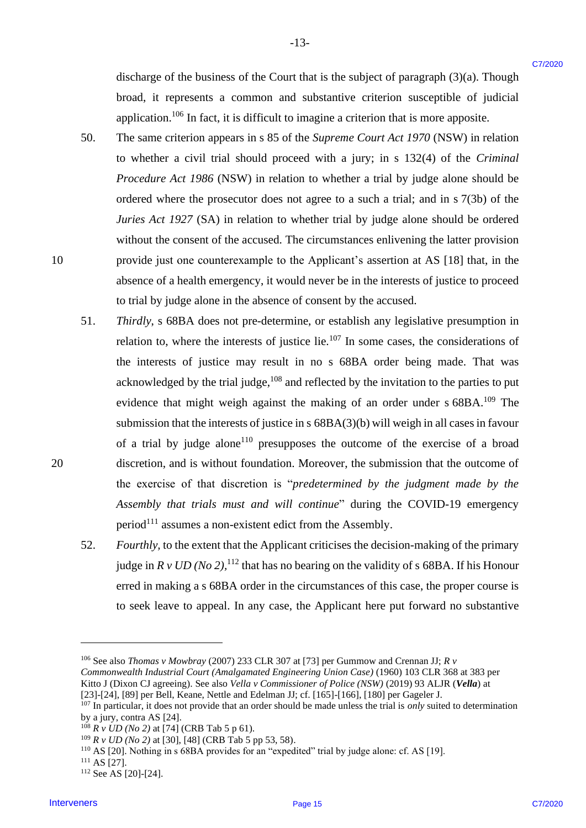discharge of the business of the Court that is the subject of paragraph (3)(a). Though discharge of the business of the Court that is the subject of paragraph(3)(a). Though broad, it represents a common and substantive criterion susceptible of judicial broad, it represents <sup>a</sup> common and substantive criterion susceptible of judicial application.<sup>106</sup> In fact, it is difficult to imagine a criterion that is more apposite.

-13- -13-

- 50. The same criterion appears in s 85 of the *Supreme Court Act 1970* (NSW) in relation The same criterion appears in <sup>s</sup> 85 of the Supreme Court Act 1970 (NSW) in relation to whether a civil trial should proceed with a jury; in s 132(4) of the *Criminal*  to whether <sup>a</sup> civil trial should proceed with <sup>a</sup> jury; in <sup>s</sup> 132(4) of the Criminal *Procedure Act 1986* (NSW) in relation to whether a trial by judge alone should be Procedure Act 1986 (NSW) in relation to whether <sup>a</sup> trial by judge alone should be ordered where the prosecutor does not agree to a such a trial; and in s 7(3b) of the *Juries Act 1927* (SA) in relation to whether trial by judge alone should be ordered Juries Act 1927 (SA) in relation to whether trial by judge alone should be ordered without the consent of the accused. The circumstances enlivening the latter provision without the consent of the accused. The circumstances enlivening the latter provision 10 provide just one counterexample to the Applicant's assertion at AS [18] that, in the provide just one counterexample to the Applicant's assertion at AS [18] that, in the absence of a health emergency, it would never be in the interests of justice to proceed to trial by judge alone in the absence of consent by the accused. to trial by judge alone in the absence of consent by the accused. 50.
- 51. *Thirdly*, s 68BA does not pre-determine, or establish any legislative presumption in Thirdly, <sup>s</sup> 68BA does not pre-determine, or establish any legislative presumption in relation to, where the interests of justice lie.<sup>107</sup> In some cases, the considerations of the interests of justice may result in no s 68BA order being made. That was the interests of justice may result in no <sup>s</sup> 68BA order being made. That was acknowledged by the trial judge,  $108$  and reflected by the invitation to the parties to put evidence that might weigh against the making of an order under s 68BA.<sup>109</sup> The submission that the interests of justice in  $s$  68BA(3)(b) will weigh in all cases in favour of a trial by judge alone<sup>110</sup> presupposes the outcome of the exercise of a broad 20 discretion, and is without foundation. Moreover, the submission that the outcome of discretion, and is without foundation. Moreover, the submission that the outcome of the exercise of that discretion is "*predetermined by the judgment made by the*  the exercise of that discretion is "predetermined by the judgment made by the *Assembly that trials must and will continue*" during the COVID-19 emergency Assembly that trials must and willcontinue" during the COVID-19 emergency period<sup>111</sup> assumes a non-existent edict from the Assembly. discharge of the business of the Court that is the subject of paragraph (3)(a). Though<br>
broad, it represents a correspon and substantine criterion was explored of placing<br>
application, <sup>18</sup> In fact, it is difficult to ima 51.
	- 52. Fourthly, to the extent that the Applicant criticises the decision-making of the primary judge in  $R v U D (No 2)$ , <sup>112</sup> that has no bearing on the validity of s 68BA. If his Honour erred in making a s 68BA order in the circumstances of this case, the proper course is erred in making as 68BA order in the circumstances of this case, the proper course is to seek leave to appeal. In any case, the Applicant here put forward no substantive to seek leave to appeal. In any case, the Applicant here put forward no substantive 52.

20

<sup>106</sup> See also *Thomas v Mowbray* (2007) 233 CLR 307 at [73] per Gummow and Crennan JJ; *R v*  <sup>106</sup> See also Thomas <sup>v</sup> Mowbray (2007) 233 CLR 307 at [73] per Gummow and Crennan JJ; Rv

*Commonwealth Industrial Court (Amalgamated Engineering Union Case)* (1960) 103 CLR 368 at 383 per Commonwealth Industrial Court (Amalgamated Engineering Union Case) (1960) 103 CLR 368 at 383 per Kitto J (Dixon CJ agreeing). See also *Vella v Commissioner of Police (NSW)* (2019) 93 ALJR (*Vella*) at

<sup>[23]-[24], [89]</sup> per Bell, Keane, Nettle and Edelman JJ; cf. [165]-[166], [180] per Gageler J. [23]-[24], [89] per Bell, Keane, Nettle and Edelman JJ; cf. [165]-[166], [180] per Gageler J.  $107$  In particular, it does not provide that an order should be made unless the trial is *only* suited to determination

by a jury, contra AS [24]. by a jury, contra AS [24].

<sup>&</sup>lt;sup>108</sup> *R v UD (No 2)* at [74] (CRB Tab 5 p 61).

<sup>&</sup>lt;sup>109</sup> *R v UD (No 2)* at [30], [48] (CRB Tab 5 pp 53, 58).

<sup>110</sup> AS [20]. Nothing in s 68BA provides for an "expedited" trial by judge alone: cf. AS [19]. 10 AS [20]. Nothing in <sup>s</sup> 68BA provides for an "expedited" trial by judge alone: cf. AS [19].

 $111$  AS [27].

<sup>112</sup> See AS [20]-[24]. 12See AS [20]-[24].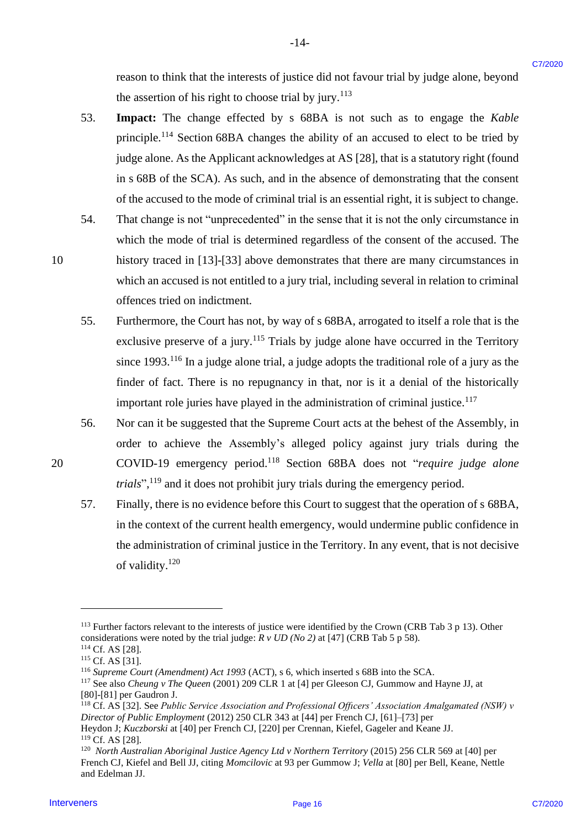reason to think that the interests of justice did not favour trial by judge alone, beyond the assertion of his right to choose trial by jury.<sup>113</sup>

53. **Impact:** The change effected by s 68BA is not such as to engage the *Kable* 53. Impact: The change effected by <sup>s</sup> 68BA is not such as to engage the Kable principle.<sup>114</sup> Section 68BA changes the ability of an accused to elect to be tried by judge alone. As the Applicant acknowledges at AS [28], that is a statutory right (found judge alone. As the Applicant acknowledges at AS [28], that is <sup>a</sup> statutory right (found in s 68B of the SCA). As such, and in the absence of demonstrating that the consent in <sup>s</sup> 68B of the SCA). As such, and in the absence of demonstrating that the consent of the accused to the mode of criminal trial is an essential right, it is subject to change. of the accused to the mode of criminal trial is an essential right, it is subject to change. reason to think that the interests of parties this at favour trial by judge alone, beyond<br>
Interveners CP between the light particular at the second to the second the second the second of the second to the reason of the s

-14- -14-

- 54. That change is not "unprecedented" in the sense that it is not the only circumstance in 54. That change is not "unprecedented" in the sense that it is not the only circumstance in which the mode of trial is determined regardless of the consent of the accused. The which the mode of trial is determined regardless of the consent of the accused. The 10 history traced in [13]-[33] above demonstrates that there are many circumstances in 10 history traced in [13]-[33] above demonstrates that there are many circumstances in which an accused is not entitled to a jury trial, including several in relation to criminal which an accused is not entitled to <sup>a</sup> jury trial, including several in relation to criminal offences tried on indictment. offences tried on indictment.
	- 55. Furthermore, the Court has not, by way of s 68BA, arrogated to itself a role that is the 55. Furthermore, the Court has not, by way of <sup>s</sup> 68BA, arrogated to itself <sup>a</sup> role that is the exclusive preserve of a jury.<sup>115</sup> Trials by judge alone have occurred in the Territory since  $1993$ <sup>116</sup> In a judge alone trial, a judge adopts the traditional role of a jury as the finder of fact. There is no repugnancy in that, nor is it a denial of the historically finder of fact. There is no repugnancy in that, nor is it a denial of the historically important role juries have played in the administration of criminal justice.<sup>117</sup>
- 56. Nor can it be suggested that the Supreme Court acts at the behest of the Assembly, in 56. Nor can it be suggested that the Supreme Court acts at the behest of the Assembly, in order to achieve the Assembly's alleged policy against jury trials during the order to achieve the Assembly's alleged policy against jury trials during the 20 COVID-19 emergency period.<sup>118</sup> Section 68BA does not "*require judge alone trials*",<sup>119</sup> and it does not prohibit jury trials during the emergency period.
	- 57. Finally, there is no evidence before this Court to suggest that the operation of s 68BA, 57. Finally, there is no evidence before this Court to suggest that the operation of <sup>s</sup> 68BA, in the context of the current health emergency, would undermine public confidence in in the context of the current health emergency, would undermine public confidence in the administration of criminal justice in the Territory. In any event, that is not decisive of validity.<sup>120</sup>

 $113$  Further factors relevant to the interests of justice were identified by the Crown (CRB Tab 3 p 13). Other considerations were noted by the trial judge:  $R \, v \, UD \, (No \, 2)$  at [47] (CRB Tab 5 p 58).

 $114$  Cf. AS [28].

 $115$  Cf. AS [31].

<sup>116</sup> *Supreme Court (Amendment) Act 1993* (ACT), s 6, which inserted s 68B into the SCA. 16 Supreme Court (Amendment) Act 1993 (ACT), <sup>s</sup> 6, which inserted s 68B into the SCA.

<sup>1&</sup>lt;sup>17</sup> See also *Cheung v The Queen* (2001) 209 CLR 1 at [4] per Gleeson CJ, Gummow and Hayne JJ, at [80]-[81] per Gaudron J. [80]-[81] per Gaudron J.

<sup>&</sup>lt;sup>118</sup> Cf. AS [32]. See *Public Service Association and Professional Officers' Association Amalgamated (NSW) v Director of Public Employment* (2012) 250 CLR 343 at [44] per French CJ, [61]–[73] per Director of Public Employment (2012) 250 CLR 343 at [44] per French CJ, [61]-[73] per

Heydon J; *Kuczborski* at [40] per French CJ, [220] per Crennan, Kiefel, Gageler and Keane JJ. Heydon J; Kuczborski at [40] per French CJ, [220] per Crennan, Kiefel, Gageler and Keane JJ. <sup>119</sup> Cf. AS [28].

<sup>&</sup>lt;sup>120</sup> North Australian Aboriginal Justice Agency Ltd v Northern Territory (2015) 256 CLR 569 at [40] per French CJ, Kiefel and Bell JJ, citing Momcilovic at 93 per Gummow J; Vella at [80] per Bell, Keane, Nettle and Edelman JJ. and Edelman JJ.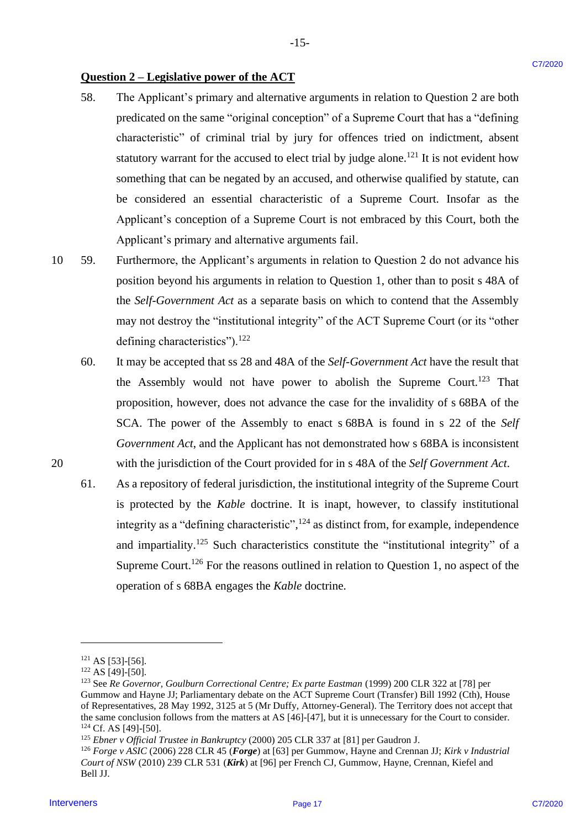# **Question 2 – Legislative power of the ACT** Question 2 —Legislative power of the ACT

58. The Applicant's primary and alternative arguments in relation to Question 2 are both 58. The Applicant's primary and alternative arguments in relation to Question 2 are both predicated on the same "original conception" of a Supreme Court that has a "defining predicated on the same "original conception"of <sup>a</sup> Supreme Court that has <sup>a</sup> "defining characteristic" of criminal trial by jury for offences tried on indictment, absent characteristic" of criminal trial by jury for offences tried on indictment, absent statutory warrant for the accused to elect trial by judge alone.<sup>121</sup> It is not evident how something that can be negated by an accused, and otherwise qualified by statute, can something that can be negated by an accused, and otherwise qualified by statute, can be considered an essential characteristic of a Supreme Court. Insofar as the Applicant's conception of a Supreme Court is not embraced by this Court, both the Applicant's conception of a Supreme Court is not embraced by this Court, both the Applicant's primary and alternative arguments fail. Applicant's primary and alternative arguments fail. **Onesion 2 - Logisladrie power of the ACT**<br>
1bs. The Applicant's propulse in the function and alternative angularities of the Spherica 2. The Computer Case (Solid Case (Solid Case (Solid Case (Solid Case (Solid Case (Soli

-15- -15-

- 10 59. Furthermore, the Applicant's arguments in relation to Question 2 do not advance his 10 59. Furthermore, the Applicant's arguments in relation to Question 2 do not advance his position beyond his arguments in relation to Question 1, other than to posit s 48A of position beyond his arguments in relation to Question 1, other than to posit <sup>s</sup> 48A of the *Self-Government Act* as a separate basis on which to contend that the Assembly the Self-Government Act as <sup>a</sup> separate basis on which to contend that the Assembly may not destroy the "institutional integrity" of the ACT Supreme Court (or its "other may not destroy the "institutional integrity" of the ACT Supreme Court (or its "other defining characteristics").<sup>122</sup>
- 60. It may be accepted that ss 28 and 48A of the *Self-Government Act* have the result that the Assembly would not have power to abolish the Supreme Court.<sup>123</sup> That proposition, however, does not advance the case for the invalidity of s 68BA of the proposition, however, doesnot advance the case for the invalidity of <sup>s</sup> 68BA of the SCA. The power of the Assembly to enact s 68BA is found in s 22 of the *Self Government Act*, and the Applicant has not demonstrated how s 68BA is inconsistent Government Act, and the Applicant has not demonstrated how <sup>s</sup> 68BA is inconsistent 20 with the jurisdiction of the Court provided for in s 48A of the *Self Government Act*. 20 with the jurisdiction of the Court provided for in <sup>s</sup> 48A of the SelfGovernment Act.
	- 61. As a repository of federal jurisdiction, the institutional integrity of the Supreme Court is protected by the *Kable* doctrine. It is inapt, however, to classify institutional integrity as a "defining characteristic", $^{124}$  as distinct from, for example, independence and impartiality.<sup>125</sup> Such characteristics constitute the "institutional integrity" of a Supreme Court.<sup>126</sup> For the reasons outlined in relation to Question 1, no aspect of the operation of s 68BA engages the *Kable* doctrine. operation of <sup>s</sup> 68BA engages the Kable doctrine.

 $121$  AS [53]-[56].

<sup>122</sup> AS [49]-[50]. <sup>122</sup> AS [49]-[50].

<sup>&</sup>lt;sup>123</sup> See Re Governor, Goulburn Correctional Centre; Ex parte Eastman (1999) 200 CLR 322 at [78] per Gummow and Hayne JJ; Parliamentary debate on the ACT Supreme Court (Transfer) Bill 1992 (Cth), House Gummow and Hayne JJ; Parliamentary debate on the ACT Supreme Court (Transfer) Bill 1992 (Cth), House of Representatives, 28 May 1992, 3125 at 5 (Mr Duffy, Attorney-General). The Territory does not accept that of Representatives, 28 May 1992, 3125 at <sup>5</sup> (Mr Duffy, Attorney-General). The Territory does not accept that the same conclusion follows from the matters at AS [46]-[47], but it is unnecessary for the Court to consider. the same conclusion follows from the matters at AS [46]-[47], but it is unnecessary for the Court to consider. <sup>124</sup> Cf. AS [49]-[50]. 4 Cf. AS [49]-[50].

<sup>125</sup> *Ebner v Official Trustee in Bankruptcy* (2000) 205 CLR 337 at [81] per Gaudron J. 25 Ebner v Official Trustee in Bankruptcy (2000) 205 CLR 337 at [81] per Gaudron J.

 $^{126}$  Forge v ASIC (2006) 228 CLR 45 (Forge) at [63] per Gummow, Hayne and Crennan JJ; Kirk v Industrial Court of NSW (2010) 239 CLR 531 (Kirk) at [96] per French CJ, Gummow, Hayne, Crennan, Kiefel and Bell JJ. Bell JJ.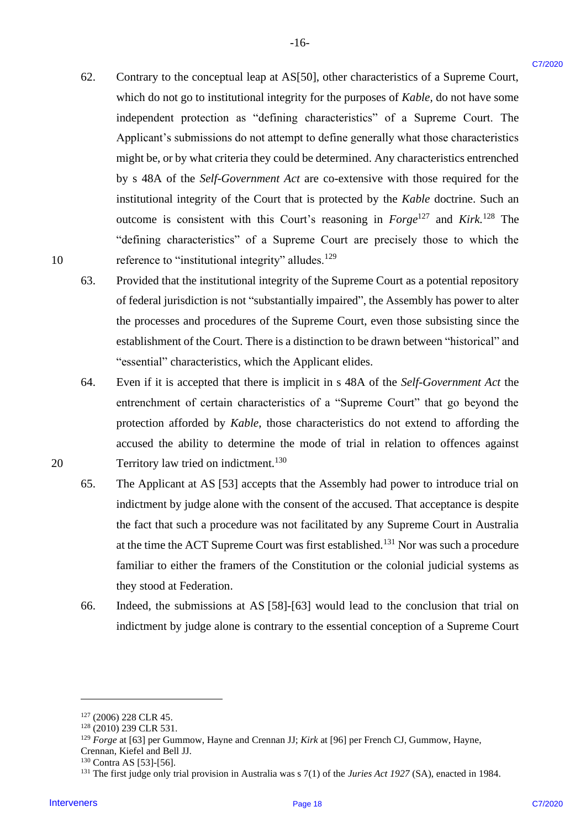62. Contrary to the conceptual leap at AS[50], other characteristics of a Supreme Court, Contrary to the conceptual leap at AS[50], other characteristics of a Supreme Court, which do not go to institutional integrity for the purposes of *Kable*, do not have some independent protection as "defining characteristics" of a Supreme Court. The independent protection as "defining characteristics" of a Supreme Court. The Applicant's submissions do not attempt to define generally what those characteristics Applicant's submissions do not attempt to define generally what those characteristics might be, or by what criteria they could be determined. Any characteristics entrenched might be, or by what criteria they could be determined. Any characteristics entrenched by s 48A of the *Self-Government Act* are co-extensive with those required for the by <sup>s</sup> 48A of the Self-Government Act are co-extensive with those required for the institutional integrity of the Court that is protected by the *Kable* doctrine. Such an outcome is consistent with this Court's reasoning in  $Forge^{127}$  and Kirk.<sup>128</sup> The "defining characteristics" of a Supreme Court are precisely those to which the "defining characteristics" of <sup>a</sup> Supreme Court are precisely those to which the 10 reference to "institutional integrity" alludes.<sup>129</sup> 62. Contary to the conceptual leap at ASIS01, other characteristics of a Supreme Court.<br>
Series which do not go in the state intervene in the metromeory of Koto characteristics<br>
independent governing to the "defining cha 62.

-16- -16-

- 63. Provided that the institutional integrity of the Supreme Court as a potential repository Provided that the institutional integrity of the Supreme Court as a potential repository of federal jurisdiction is not "substantially impaired", the Assembly has power to alter the processes and procedures of the Supreme Court, even those subsisting since the the processes and procedures of the Supreme Court, even those subsisting since the establishment of the Court. There is a distinction to be drawn between "historical" and "essential" characteristics, which the Applicant elides. "essential" characteristics, which the Applicant elides. 63.
- 64. Even if it is accepted that there is implicit in s 48A of the *Self-Government Act* the Even if it is accepted that there is implicit in <sup>s</sup> 48A of the Self-Government Act the entrenchment of certain characteristics of a "Supreme Court" that go beyond the entrenchment of certain characteristics of <sup>a</sup> "Supreme Court" that go beyond the protection afforded by Kable, those characteristics do not extend to affording the accused the ability to determine the mode of trial in relation to offences against accused the ability to determine the mode of trial in relation to offences against 20 Territory law tried on indictment.<sup>130</sup> 64.
	- 65. The Applicant at AS [53] accepts that the Assembly had power to introduce trial on The Applicant at AS [53] accepts that the Assembly had power to introduce trial on indictment by judge alone with the consent of the accused. That acceptance is despite indictment by judge alone with the consent of the accused. That acceptance is despite the fact that such a procedure was not facilitated by any Supreme Court in Australia the fact that such <sup>a</sup> procedure was not facilitated by any Supreme Court in Australia at the time the ACT Supreme Court was first established.<sup>131</sup> Nor was such a procedure familiar to either the framers of the Constitution or the colonial judicial systems as familiar to either the framers of the Constitution or the colonial judicial systems as they stood at Federation. they stood at Federation. 65.
	- 66. Indeed, the submissions at AS [58]-[63] would lead to the conclusion that trial on Indeed, the submissions at AS [58]-[63] would lead to the conclusion that trial on indictment by judge alone is contrary to the essential conception of a Supreme Court indictment by judge alone is contrary to the essential conception of a Supreme Court 66.

<sup>127</sup> (2006) 228 CLR 45. 127(2006) 228 CLR 45.

<sup>128</sup> (2010) 239 CLR 531. 128(2010) 239 CLR 531.

<sup>&</sup>lt;sup>129</sup> Forge at [63] per Gummow, Hayne and Crennan JJ; *Kirk* at [96] per French CJ, Gummow, Hayne, Crennan, Kiefel and Bell JJ. Crennan, Kiefel and Bell JJ.

 $130$  Contra AS [53]-[56].

 $^{131}$  The first judge only trial provision in Australia was s 7(1) of the Juries Act 1927 (SA), enacted in 1984.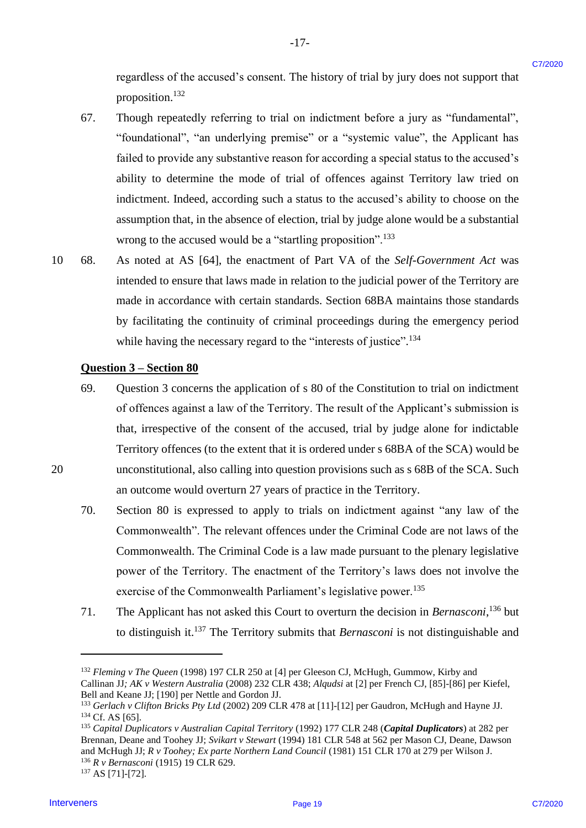regardless of the accused's consent. The history of trial by jury does not support that proposition.<sup>132</sup>

67. Though repeatedly referring to trial on indictment before a jury as "fundamental", Though repeatedly referring to trial on indictment before <sup>a</sup> jury as "fundamental", "foundational", "an underlying premise" or a "systemic value", the Applicant has "foundational", 'an underlying premise" or a "systemic value", the Applicant has failed to provide any substantive reason for according a special status to the accused's failed to provide any substantive reason for according <sup>a</sup> special status to the accused's ability to determine the mode of trial of offences against Territory law tried on ability to determine the mode of trial of offences against Territory law tried on indictment. Indeed, according such a status to the accused's ability to choose on the indictment. Indeed, according such a status to the accused's ability to choose on the assumption that, in the absence of election, trial by judge alone would be a substantial assumption that, in the absence of election, trial by judge alone would be <sup>a</sup> substantial wrong to the accused would be a "startling proposition".<sup>133</sup> regardless of the accused's consent. The history of trial by jary does not support that<br>
or properties.<sup>22</sup><br>
Theoph expendedly referring to trial on indication<br>can be equivalently the stationary of the stationary of the a 67.

 $-17-$ 

10 68. As noted at AS [64], the enactment of Part VA of the *Self-Government Act* was As noted at AS [64], the enactment of Part VA of the Self-Government Act was intended to ensure that laws made in relation to the judicial power of the Territory are intended to ensure that laws made in relation to the judicial power of the Territory are made in accordance with certain standards. Section 68BA maintains those standards made in accordance with certain standards. Section 68BA maintains those standards by facilitating the continuity of criminal proceedings during the emergency period by facilitating the continuity of criminal proceedings during the emergency period while having the necessary regard to the "interests of justice".<sup>134</sup> 10 68.

### **Question 3 – Section 80** Question 3 —Section 80

- 69. Question 3 concerns the application of s 80 of the Constitution to trial on indictment Question <sup>3</sup> concerns the application of <sup>s</sup> <sup>80</sup> of the Constitution to trial on indictment of offences against a law of the Territory. The result of the Applicant's submission is of offences against <sup>a</sup> law of the Territory. The result of the Applicant's submission is that, irrespective of the consent of the accused, trial by judge alone for indictable that, irrespective of the consent of the accused, trial by judge alone for indictable Territory offences (to the extent that it is ordered under s 68BA of the SCA) would be Territory offences (to the extent that it is ordered under <sup>s</sup> 68BA of the SCA) would be 20 unconstitutional, also calling into question provisions such as s 68B of the SCA. Such unconstitutional, also calling into question provisions such as <sup>s</sup> 68B of the SCA. Such an outcome would overturn 27 years of practice in the Territory. an outcome would overturn 27 years of practice in the Territory. 69.
	- 70. Section 80 is expressed to apply to trials on indictment against "any law of the Section 80 is expressed to apply to trials on indictment against "any law of the Commonwealth". The relevant offences under the Criminal Code are not laws of the Commonwealth". The relevant offences under the Criminal Code are not laws of the Commonwealth. The Criminal Code is a law made pursuant to the plenary legislative Commonwealth. The Criminal Code is a law made pursuant to the plenary legislative power of the Territory. The enactment of the Territory's laws does not involve the power of the Territory. The enactment of the Territory's laws does not involve the exercise of the Commonwealth Parliament's legislative power.<sup>135</sup> 70.
	- 71. The Applicant has not asked this Court to overturn the decision in *Bernasconi*,<sup>136</sup> but to distinguish it.<sup>137</sup> The Territory submits that *Bernasconi* is not distinguishable and 71.

<sup>132</sup> *Fleming v The Queen* (1998) 197 CLR 250 at [4] per Gleeson CJ, McHugh, Gummow, Kirby and <sup>132</sup> Fleming <sup>v</sup> The Queen (1998) 197 CLR 250 at [4] per Gleeson CJ, McHugh, Gummow, Kirby and Callinan JJ; AK v Western Australia (2008) 232 CLR 438; Alqudsi at [2] per French CJ, [85]-[86] per Kiefel, Bell and Keane JJ; [190] per Nettle and Gordon JJ. Bell and Keane JJ; [190] per Nettle and Gordon JJ.

<sup>&</sup>lt;sup>133</sup> Gerlach v Clifton Bricks Pty Ltd (2002) 209 CLR 478 at [11]-[12] per Gaudron, McHugh and Hayne JJ.  $134$  Cf. AS [65].

<sup>&</sup>lt;sup>135</sup> Capital Duplicators v Australian Capital Territory (1992) 177 CLR 248 (Capital Duplicators) at 282 per Brennan, Deane and Toohey JJ; *Svikart v Stewart* (1994) 181 CLR 548 at 562 per Mason CJ, Deane, Dawson Brennan, Deane and Toohey JJ; Svikart v Stewart (1994) 181 CLR 548 at 562 per Mason CJ, Deane, Dawson and McHugh JJ; *R v Toohey; Ex parte Northern Land Council* (1981) 151 CLR 170 at 279 per Wilson J. <sup>136</sup> *R v Bernasconi* (1915) 19 CLR 629. <sup>136</sup> R y Bernasconi (1915) 19 CLR 629.

<sup>137</sup> AS [71]-[72]. 137AS [71]-[72].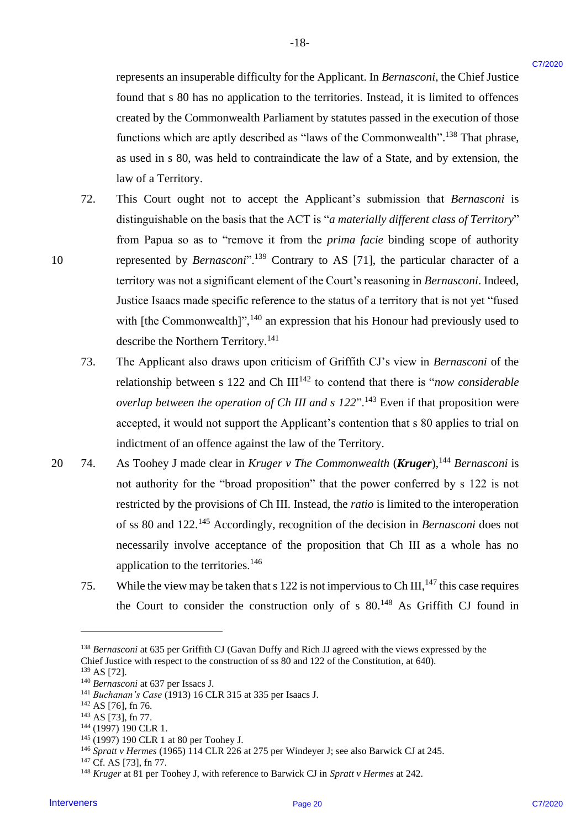represents an insuperable difficulty for the Applicant. In *Bernasconi*, the Chief Justice represents an insuperable difficulty for the Applicant. In Bernasconi, the Chief Justice found that s 80 has no application to the territories. Instead, it is limited to offences found that <sup>s</sup> 80 has no application to the territories. Instead, it is limited to offences created by the Commonwealth Parliament by statutes passed in the execution of those created by the Commonwealth Parliament by statutes passed in the execution of those functions which are aptly described as "laws of the Commonwealth".<sup>138</sup> That phrase, as used in s 80, was held to contraindicate the law of a State, and by extension, the as used in <sup>s</sup> 80, was held to contraindicate the law of a State, and by extension, the law of a Territory. law of a Territory.

- 72. This Court ought not to accept the Applicant's submission that *Bernasconi* is This Court ought not to accept the Applicant's submission that Bernasconi is distinguishable on the basis that the ACT is "*a materially different class of Territory*" distinguishable on the basis that the ACT is "a materially different class of Territory" from Papua so as to "remove it from the *prima facie* binding scope of authority from Papua so as to "remove it from the prima facie binding scope of authority 10 represented by *Bernasconi*".<sup>139</sup> Contrary to AS [71], the particular character of a territory was not a significant element of the Court's reasoning in *Bernasconi*. Indeed, territory was not <sup>a</sup> significant element of the Court's reasoning in Bernasconi. Indeed, Justice Isaacs made specific reference to the status of a territory that is not yet "fused Justice Isaacs made specific reference to the status of a territory that is not yet "fused with [the Commonwealth]",  $^{140}$  an expression that his Honour had previously used to describe the Northern Territory.<sup>141</sup> represents an inseparable difficulty for the Applicant. In Bernamond, the Chief Justice Crane<br>
formed that set the non-proference in the termines. Hence at this first the transfer and the set that the transfer and the for 72.
	- 73. The Applicant also draws upon criticism of Griffith CJ's view in *Bernasconi* of the The Applicant also draws upon criticism of Griffith CJ's view in Bernasconi of the relationship between s 122 and Ch III<sup>142</sup> to contend that there is "*now considerable* overlap between the operation of Ch III and s 122".<sup>143</sup> Even if that proposition were accepted, it would not support the Applicant's contention that s 80 applies to trial on accepted, it would not support the Applicant's contention that <sup>s</sup> 80 applies to trial on indictment of an offence against the law of the Territory. indictment of an offence against the law of the Territory. 73.
- 20 74. As Toohey J made clear in *Kruger v The Commonwealth* (*Kruger*),<sup>144</sup> Bernasconi is not authority for the "broad proposition" that the power conferred by s 122 is not not authority for the "broad proposition" that the power conferred by <sup>s</sup> 122 is not restricted by the provisions of Ch III. Instead, the *ratio* is limited to the interoperation of ss 80 and 122.<sup>145</sup> Accordingly, recognition of the decision in *Bernasconi* does not necessarily involve acceptance of the proposition that Ch III as a whole has no necessarily involve acceptance of the proposition that Ch III as <sup>a</sup> whole has no application to the territories.<sup>146</sup> 20 = 74.
	- 75. While the view may be taken that s 122 is not impervious to Ch III,  $^{147}$  this case requires the Court to consider the construction only of  $s$  80.<sup>148</sup> As Griffith CJ found in 75.

<sup>138</sup> *Bernasconi* at 635 per Griffith CJ (Gavan Duffy and Rich JJ agreed with the views expressed by the <sup>138</sup> Bernasconi at 635 per Griffith CJ (Gavan Duffy and Rich JJ agreed with the views expressed by the Chief Justice with respect to the construction of ss 80 and 122 of the Constitution, at 640).

<sup>139</sup> AS [72]. 139AS [72].

<sup>&</sup>lt;sup>140</sup> Bernasconi at 637 per Issacs J.

<sup>&</sup>lt;sup>141</sup> Buchanan's Case (1913) 16 CLR 315 at 335 per Isaacs J.

<sup>142</sup> AS [76], fn 76. 12 AS [76], fn 76.

<sup>&</sup>lt;sup>143</sup> AS [73], fn 77.

<sup>144</sup> (1997) 190 CLR 1. 144(1997) 190 CLR 1.

<sup>145</sup> (1997) 190 CLR 1 at 80 per Toohey J. '45 (1997) 190 CLR 1at 80 per Toohey J.

<sup>146</sup> *Spratt v Hermes* (1965) 114 CLR 226 at 275 per Windeyer J; see also Barwick CJ at 245. <sup>146</sup> Spratt v Hermes (1965) 114 CLR 226 at 275 per Windeyer J; see also Barwick CJ at 245.

<sup>147</sup> Cf. AS [73], fn 77. 47 Cf. AS [73], fin 77.

<sup>&</sup>lt;sup>148</sup> Kruger at 81 per Toohey J, with reference to Barwick CJ in Spratt v Hermes at 242.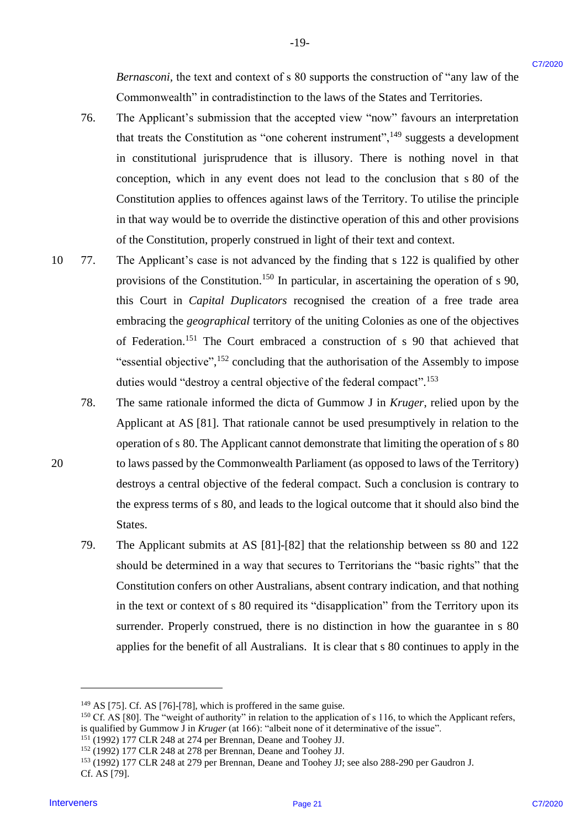*Bernasconi,* the text and context of s 80 supports the construction of "any law of the Bernasconi, the text and context of <sup>s</sup> 80 supports the construction of "any law of the Commonwealth" in contradistinction to the laws of the States and Territories. Commonwealth" in contradistinction to the laws of the States and Territories.

76. The Applicant's submission that the accepted view "now" favours an interpretation The Applicant's submission that the accepted view "now" favours an interpretation that treats the Constitution as "one coherent instrument", $^{149}$  suggests a development in constitutional jurisprudence that is illusory. There is nothing novel in that in constitutional jurisprudence that is illusory. There is nothing novel in that conception, which in any event does not lead to the conclusion that s 80 of the conception, which in any event does not lead to the conclusion that <sup>s</sup> 80 of the Constitution applies to offences against laws of the Territory. To utilise the principle Constitution applies to offences against laws of the Territory. To utilise the principle in that way would be to override the distinctive operation of this and other provisions in that way would be to override the distinctive operation of this and other provisions of the Constitution, properly construed in light of their text and context. of the Constitution, properly construed in light of their text and context. 76.

-19- -19-

- 10 77. The Applicant's case is not advanced by the finding that s 122 is qualified by other The Applicant's case is not advanced by the finding that <sup>s</sup> 122 is qualified by other provisions of the Constitution.<sup>150</sup> In particular, in ascertaining the operation of s 90, this Court in *Capital Duplicators* recognised the creation of a free trade area this Court in Capital Duplicators recognised the creation of <sup>a</sup> free trade area embracing the *geographical* territory of the uniting Colonies as one of the objectives of Federation.<sup>151</sup> The Court embraced a construction of s 90 that achieved that "essential objective",<sup>152</sup> concluding that the authorisation of the Assembly to impose duties would "destroy a central objective of the federal compact".<sup>153</sup> *Bernarons* the text and context of s 80 supports the construction of "any law of the<br>
Townwealth" in conventioning to the bases of the Solens and Termineires,<br>
The Applicant's submission dust the newspect of wire "now" f 10 77.
- 78. The same rationale informed the dicta of Gummow J in *Kruger*, relied upon by the The same rationale informed the dicta of Gummow <sup>J</sup> in Kruger, relied upon by the Applicant at AS [81]. That rationale cannot be used presumptively in relation to the Applicant at AS [81]. That rationale cannot be used presumptively in relation to the operation of s 80. The Applicant cannot demonstrate that limiting the operation of s 80 operation of <sup>s</sup> 80. The Applicant cannot demonstrate that limiting the operation of <sup>s</sup> 80 20 to laws passed by the Commonwealth Parliament (as opposed to laws of the Territory) to laws passed by the Commonwealth Parliament (as opposed to laws of the Territory) 78.
	- destroys a central objective of the federal compact. Such a conclusion is contrary to destroys <sup>a</sup> central objective of the federal compact. Such a conclusion is contrary to the express terms of s 80, and leads to the logical outcome that it should also bind the the express terms of <sup>s</sup> 80, andleads to the logical outcome that it should also bind the States. States.
	- 79. The Applicant submits at AS [81]-[82] that the relationship between ss 80 and 122 The Applicant submits at AS [81]-[82] that the relationship between ss 80 and 122 should be determined in a way that secures to Territorians the "basic rights" that the should be determined in <sup>a</sup> way that secures to Territorians the "basic rights" that the Constitution confers on other Australians, absent contrary indication, and that nothing Constitution confers on other Australians, absent contrary indication, and that nothing in the text or context of s 80 required its "disapplication" from the Territory upon its in the text or context of <sup>s</sup> <sup>80</sup> required its "disapplication" from the Territory upon its surrender. Properly construed, there is no distinction in how the guarantee in s 80 surrender. Properly construed, there is no distinction in how the guarantee in <sup>s</sup> 80 applies for the benefit of all Australians. It is clear that s 80 continues to apply in the applies for the benefit of all Australians. It is clear that <sup>s</sup> 80 continues to apply in the 79.

<sup>&</sup>lt;sup>149</sup> AS [75]. Cf. AS [76]-[78], which is proffered in the same guise.

 $^{150}$  Cf. AS [80]. The "weight of authority" in relation to the application of s 116, to which the Applicant refers, is qualified by Gummow J in *Kruger* (at 166): "albeit none of it determinative of the issue". is qualified by Gummow <sup>J</sup> in Kruger (at 166): "albeit none of it determinative of the issue".

<sup>151</sup> (1992) 177 CLR 248 at 274 per Brennan, Deane and Toohey JJ. 151(1992) 177 CLR 248 at 274 per Brennan, Deane and Toohey JJ.

<sup>152</sup> (1992) 177 CLR 248 at 278 per Brennan, Deane and Toohey JJ. <sup>152</sup> (1992) 177 CLR 248 at 278 per Brennan, Deane and Toohey JJ.

<sup>153</sup> (1992) 177 CLR 248 at 279 per Brennan, Deane and Toohey JJ; see also 288-290 per Gaudron J. <sup>153</sup> (1992) 177 CLR 248 at 279 per Brennan, Deane and Toohey JJ; see also 288-290 per Gaudron J. Cf. AS [79]. Cf. AS [79].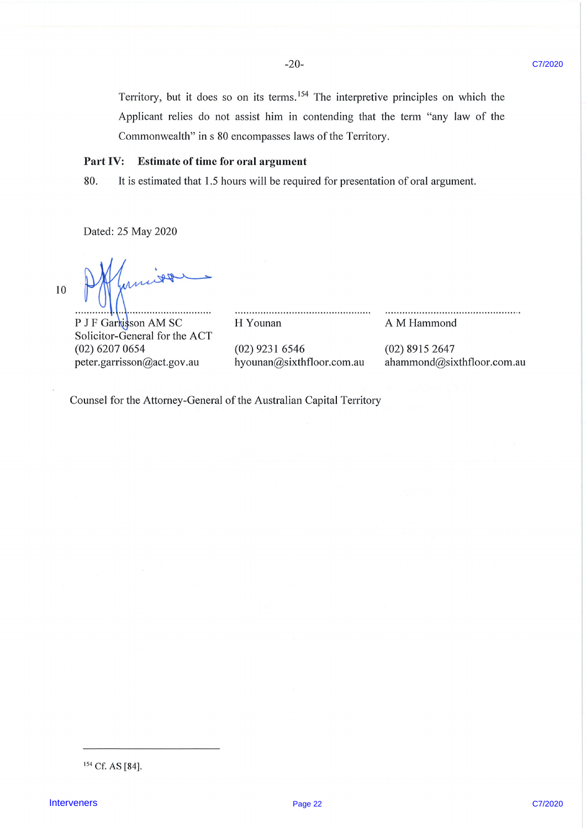-20- 7/2020

Territory, but it does so on its terms.<sup>154</sup> The interpretive principles on which the Applicant relies do not assist him in contending that the term " sppheant fenes do not assist min in contending that the term any law of the

 $(0.20767 \pm 0.00767)$  6207  $(0.20767 \pm 0.00767)$  6347  $(0.20767 \pm 0.00767)$ 

### Part IV: Estimate of time for oral argument

80. It is estimated that 1.5 hours will be required for presentation of oral argument.

Dated: 25 May 2020

 $10$ 

peter.garrisson@act.gov.au hyounan@sixthfloor.com.au ahammond@sixthfloor.com.au  $\mathbb{R}$  formulation  $\mathbb{R}$ . . . . . . . . . . . .

P J F Garkisson AM SC Solicitor-General for the ACT  $(02)$  6207 0654 peter.garrisson@act.gov.au

H Younan

 $(02)$  9231 6546 hyounan@sixthfloor.com.au

A M Hammond

Interveners Page 22 C7/2020 (22 C7/2020 (22 C7/2020 C7/2020 C7/2020 C7/2020 C7/2020 C7/2020 C7/2020 C7/2020 C7/

Application do not assist him in contending that the term  $\mathcal{A}_\mathcal{A}$ 

 $(02)$  8915 2647 ahammond@sixthfloor.com.au

H Young A M Hammond A M Hammond A M Hammond A M Hammond A M Hammond A M Hammond A M Hammond A M Hammond A M Ha

Counsel for the Attorney-General of the Australian Capital Territory

<sup>&</sup>lt;sup>154</sup> Cf. AS [84].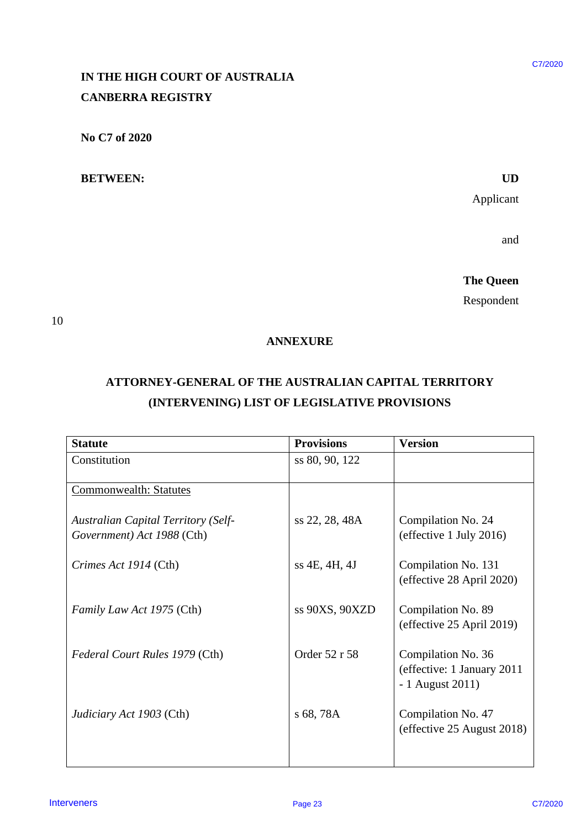# **IN THE HIGH COURT OF AUSTRALIA**  IN THE HIGH COURT OF AUSTRALIA **CANBERRA REGISTRY** CANBERRA REGISTRY

### **BETWEEN: UD** BETWEEN: UD

### **ANNEXURE**  ANNEXURE

# **ATTORNEY-GENERAL OF THE AUSTRALIAN CAPITAL TERRITORY**  ATTORNEY-GENERAL OF THE AUSTRALIAN CAPITAL TERRITORY **(INTERVENING) LIST OF LEGISLATIVE PROVISIONS** (INTERVENING) LIST OF LEGISLATIVE PROVISIONS

| IN THE HIGH COURT OF AUSTRALIA                                           |                                              |                                                                      |
|--------------------------------------------------------------------------|----------------------------------------------|----------------------------------------------------------------------|
| <b>CANBERRA REGISTRY</b>                                                 |                                              |                                                                      |
| No C7 of 2020                                                            |                                              |                                                                      |
| <b>BETWEEN:</b>                                                          |                                              | <b>UD</b>                                                            |
|                                                                          |                                              | Applicant                                                            |
|                                                                          |                                              | and                                                                  |
|                                                                          |                                              | <b>The Queen</b>                                                     |
|                                                                          |                                              | Respondent                                                           |
| ATTORNEY-GENERAL OF THE AUSTRALIAN CAPITAL TERRITORY                     | (INTERVENING) LIST OF LEGISLATIVE PROVISIONS |                                                                      |
|                                                                          |                                              |                                                                      |
| <b>Statute</b><br>Constitution                                           | <b>Provisions</b><br>ss 80, 90, 122          | <b>Version</b>                                                       |
| <b>Commonwealth: Statutes</b>                                            |                                              |                                                                      |
| <b>Australian Capital Territory (Self-</b><br>Government) Act 1988 (Cth) | ss 22, 28, 48A                               | Compilation No. 24<br>(effective 1 July 2016)                        |
| Crimes Act 1914 (Cth)                                                    | ss 4E, 4H, 4J                                | Compilation No. 131<br>(effective 28 April 2020)                     |
| Family Law Act 1975 (Cth)                                                | ss 90XS, 90XZD                               | Compilation No. 89<br>(effective 25 April 2019)                      |
| Federal Court Rules 1979 (Cth)                                           | Order 52 r 58                                | Compilation No. 36<br>(effective: 1 January 2011<br>- 1 August 2011) |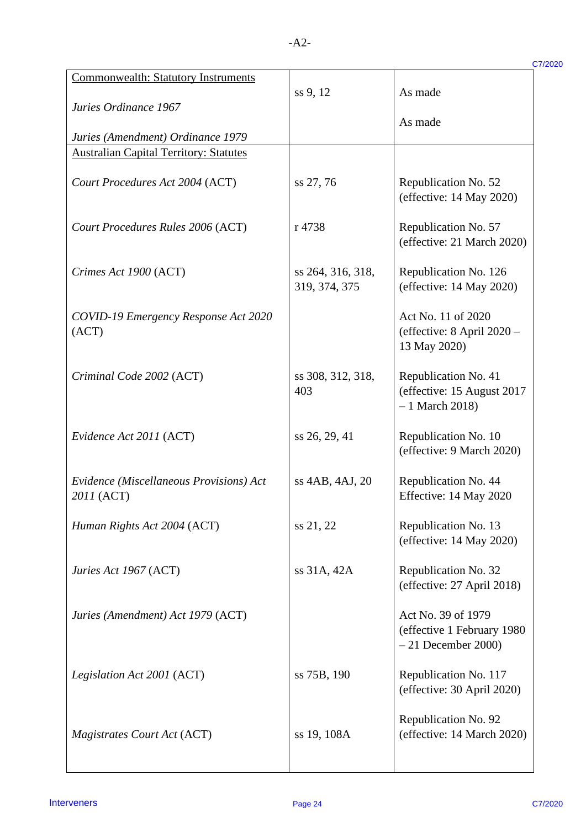| <b>Commonwealth: Statutory Instruments</b>            |                                    |                                                                           |
|-------------------------------------------------------|------------------------------------|---------------------------------------------------------------------------|
| Juries Ordinance 1967                                 | ss 9, 12                           | As made                                                                   |
| Juries (Amendment) Ordinance 1979                     |                                    | As made                                                                   |
| <b>Australian Capital Territory: Statutes</b>         |                                    |                                                                           |
| Court Procedures Act 2004 (ACT)                       | ss 27, 76                          | Republication No. 52<br>(effective: $14$ May 2020)                        |
| Court Procedures Rules 2006 (ACT)                     | r 4738                             | Republication No. 57<br>(effective: 21 March 2020)                        |
| Crimes Act 1900 (ACT)                                 | ss 264, 316, 318,<br>319, 374, 375 | Republication No. 126<br>(effective: $14$ May 2020)                       |
| COVID-19 Emergency Response Act 2020<br>(ACT)         |                                    | Act No. 11 of 2020<br>(effective: 8 April 2020 -<br>13 May 2020)          |
| Criminal Code 2002 (ACT)                              | ss 308, 312, 318,<br>403           | Republication No. 41<br>(effective: 15 August 2017)<br>$-1$ March 2018)   |
| Evidence Act 2011 (ACT)                               | ss 26, 29, 41                      | Republication No. 10<br>(effective: 9 March 2020)                         |
| Evidence (Miscellaneous Provisions) Act<br>2011 (ACT) | ss 4AB, 4AJ, 20                    | Republication No. 44<br>Effective: 14 May 2020                            |
| Human Rights Act 2004 (ACT)                           | ss 21, 22                          | Republication No. 13<br>(effective: 14 May 2020)                          |
| Juries Act 1967 (ACT)                                 | ss 31A, 42A                        | Republication No. 32<br>(effective: 27 April 2018)                        |
| Juries (Amendment) Act 1979 (ACT)                     |                                    | Act No. 39 of 1979<br>(effective 1 February 1980)<br>$-21$ December 2000) |
| Legislation Act 2001 (ACT)                            | ss 75B, 190                        | Republication No. 117<br>(effective: 30 April 2020)                       |
| Magistrates Court Act (ACT)                           | ss 19, 108A                        | Republication No. 92<br>(effective: 14 March 2020)                        |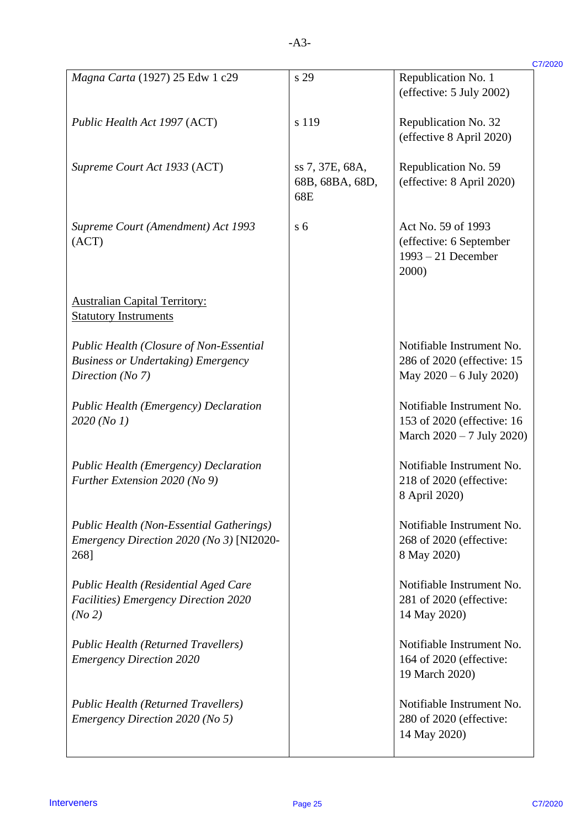| Magna Carta (1927) 25 Edw 1 c29                                                                                 | s 29                   | Republication No. 1<br>(effective: 5 July 2002)                                         |
|-----------------------------------------------------------------------------------------------------------------|------------------------|-----------------------------------------------------------------------------------------|
| Public Health Act 1997 (ACT)                                                                                    | s 119                  | Republication No. 32                                                                    |
| Supreme Court Act 1933 (ACT)                                                                                    | ss 7, 37E, 68A,        | (effective 8 April 2020)<br>Republication No. 59                                        |
|                                                                                                                 | 68B, 68BA, 68D,<br>68E | (effective: 8 April 2020)                                                               |
| Supreme Court (Amendment) Act 1993<br>(ACT)                                                                     | s <sub>6</sub>         | Act No. 59 of 1993<br>(effective: 6 September<br>$1993 - 21$ December<br>2000)          |
| <b>Australian Capital Territory:</b><br><b>Statutory Instruments</b>                                            |                        |                                                                                         |
| <b>Public Health (Closure of Non-Essential</b><br><b>Business or Undertaking) Emergency</b><br>Direction (No 7) |                        | Notifiable Instrument No.<br>286 of 2020 (effective: 15<br>May $2020 - 6$ July 2020)    |
| <b>Public Health (Emergency) Declaration</b><br>2020 (No 1)                                                     |                        | Notifiable Instrument No.<br>153 of 2020 (effective: 16)<br>March $2020 - 7$ July 2020) |
| <b>Public Health (Emergency) Declaration</b><br>Further Extension 2020 (No 9)                                   |                        | Notifiable Instrument No.<br>218 of 2020 (effective:<br>8 April 2020)                   |
| <b>Public Health (Non-Essential Gatherings)</b><br>Emergency Direction 2020 (No 3) [NI2020-<br>268]             |                        | Notifiable Instrument No.<br>268 of 2020 (effective:<br>8 May 2020)                     |
| Public Health (Residential Aged Care<br><b>Facilities</b> ) Emergency Direction 2020<br>(No 2)                  |                        | Notifiable Instrument No.<br>281 of 2020 (effective:<br>14 May 2020)                    |
| <b>Public Health (Returned Travellers)</b><br><b>Emergency Direction 2020</b>                                   |                        | Notifiable Instrument No.<br>164 of 2020 (effective:<br>19 March 2020)                  |
| <b>Public Health (Returned Travellers)</b><br>Emergency Direction 2020 (No 5)                                   |                        | Notifiable Instrument No.<br>280 of 2020 (effective:<br>14 May 2020)                    |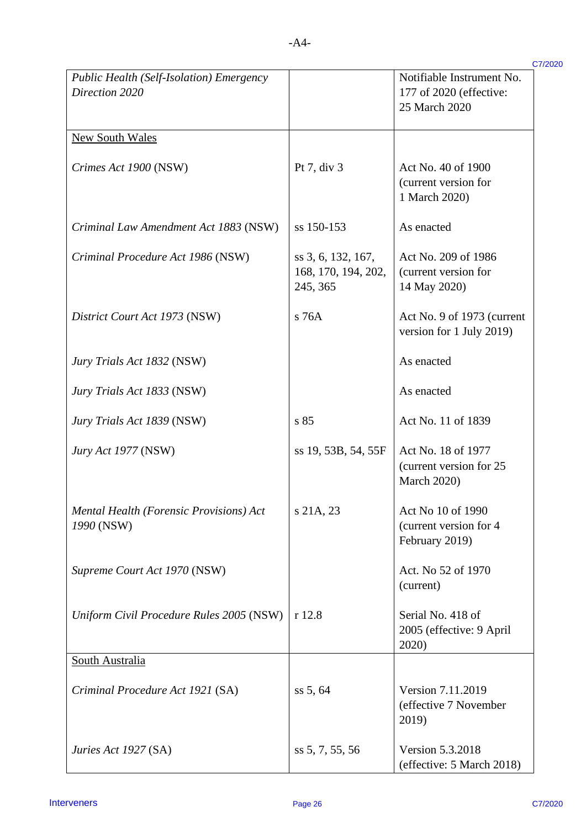| 7 | 7/2020 |
|---|--------|
|   |        |
|   |        |

| Public Health (Self-Isolation) Emergency<br>Direction 2020 |                                                       | Notifiable Instrument No.<br>177 of 2020 (effective:<br>25 March 2020 |
|------------------------------------------------------------|-------------------------------------------------------|-----------------------------------------------------------------------|
| <b>New South Wales</b>                                     |                                                       |                                                                       |
| Crimes Act 1900 (NSW)                                      | Pt 7, div 3                                           | Act No. 40 of 1900<br>(current version for<br>1 March 2020)           |
| Criminal Law Amendment Act 1883 (NSW)                      | ss 150-153                                            | As enacted                                                            |
| Criminal Procedure Act 1986 (NSW)                          | ss 3, 6, 132, 167,<br>168, 170, 194, 202,<br>245, 365 | Act No. 209 of 1986<br>(current version for<br>14 May 2020)           |
| District Court Act 1973 (NSW)                              | s 76A                                                 | Act No. 9 of 1973 (current<br>version for 1 July 2019)                |
| Jury Trials Act 1832 (NSW)                                 |                                                       | As enacted                                                            |
| Jury Trials Act 1833 (NSW)                                 |                                                       | As enacted                                                            |
| Jury Trials Act 1839 (NSW)                                 | s 85                                                  | Act No. 11 of 1839                                                    |
| <i>Jury Act 1977</i> (NSW)                                 | ss 19, 53B, 54, 55F                                   | Act No. 18 of 1977<br>(current version for 25<br><b>March 2020)</b>   |
| Mental Health (Forensic Provisions) Act<br>1990 (NSW)      | s 21A, 23                                             | Act No 10 of 1990<br>(current version for 4)<br>February 2019)        |
| Supreme Court Act 1970 (NSW)                               |                                                       | Act. No 52 of 1970<br>(current)                                       |
| Uniform Civil Procedure Rules 2005 (NSW)                   | r 12.8                                                | Serial No. 418 of<br>2005 (effective: 9 April<br>2020)                |
| South Australia                                            |                                                       |                                                                       |
| Criminal Procedure Act 1921 (SA)                           | ss 5, 64                                              | Version 7.11.2019<br>(effective 7 November<br>2019)                   |
| Juries Act 1927 (SA)                                       | ss 5, 7, 55, 56                                       | Version 5.3.2018<br>(effective: 5 March 2018)                         |
| <b>Interveners</b>                                         | Page 26                                               |                                                                       |
|                                                            |                                                       |                                                                       |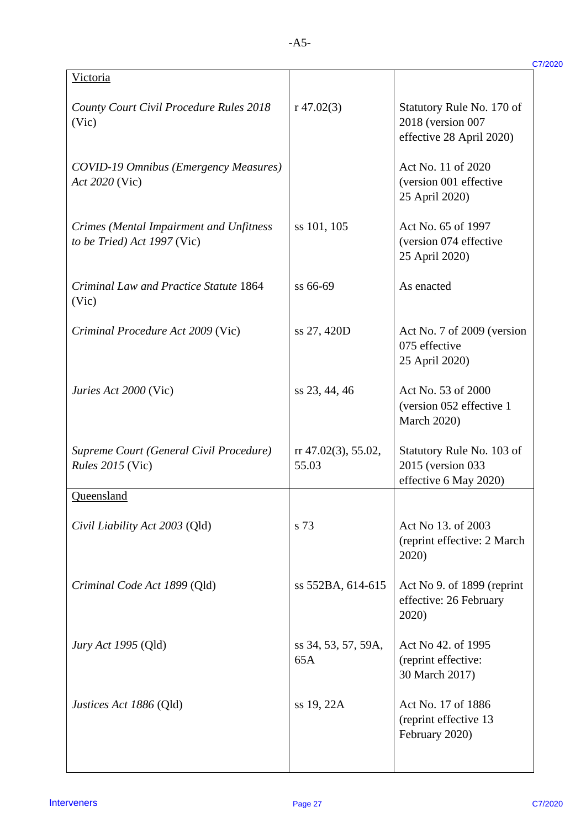| Victoria                                                               |                              |                                                                            |
|------------------------------------------------------------------------|------------------------------|----------------------------------------------------------------------------|
| County Court Civil Procedure Rules 2018<br>(Vic)                       | r $47.02(3)$                 | Statutory Rule No. 170 of<br>2018 (version 007<br>effective 28 April 2020) |
| <b>COVID-19 Omnibus (Emergency Measures)</b><br>Act 2020 (Vic)         |                              | Act No. 11 of 2020<br>(version 001 effective<br>25 April 2020)             |
| Crimes (Mental Impairment and Unfitness<br>to be Tried) Act 1997 (Vic) | ss 101, 105                  | Act No. 65 of 1997<br>(version 074 effective<br>25 April 2020)             |
| Criminal Law and Practice Statute 1864<br>(Vic)                        | ss 66-69                     | As enacted                                                                 |
| Criminal Procedure Act 2009 (Vic)                                      | ss 27, 420D                  | Act No. 7 of 2009 (version<br>075 effective<br>25 April 2020)              |
| Juries Act 2000 (Vic)                                                  | ss 23, 44, 46                | Act No. 53 of 2000<br>(version 052 effective 1<br><b>March 2020)</b>       |
| Supreme Court (General Civil Procedure)<br>Rules 2015 (Vic)            | rr 47.02(3), 55.02,<br>55.03 | Statutory Rule No. 103 of<br>2015 (version 033<br>effective 6 May 2020)    |
| Oueensland                                                             |                              |                                                                            |
| Civil Liability Act 2003 (Qld)                                         | s 73                         | Act No 13. of 2003<br>(reprint effective: 2 March<br>2020)                 |
| Criminal Code Act 1899 (Qld)                                           | ss 552BA, 614-615            | Act No 9. of 1899 (reprint<br>effective: 26 February<br>2020)              |
| <i>Jury Act 1995</i> (Qld)                                             | ss 34, 53, 57, 59A,<br>65A   | Act No 42. of 1995<br>(reprint effective:<br>30 March 2017)                |
| Justices Act 1886 (Qld)                                                | ss 19, 22A                   | Act No. 17 of 1886<br>(reprint effective 13<br>February 2020)              |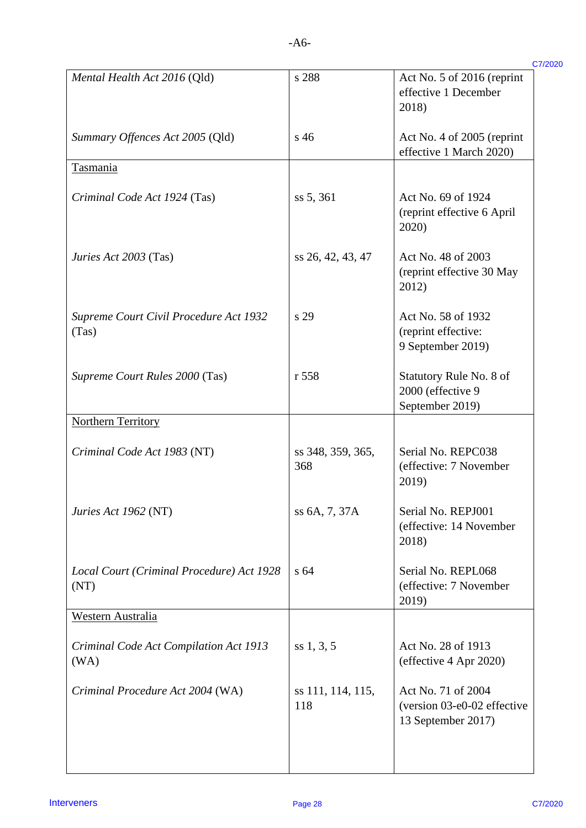| ۰ |  |
|---|--|
|   |  |

| Mental Health Act 2016 (Qld)                      | s 288                    | Act No. 5 of 2016 (reprint<br>effective 1 December<br>2018)             |
|---------------------------------------------------|--------------------------|-------------------------------------------------------------------------|
| Summary Offences Act 2005 (Qld)                   | $s\,46$                  | Act No. 4 of 2005 (reprint<br>effective 1 March 2020)                   |
| <b>Tasmania</b>                                   |                          |                                                                         |
| Criminal Code Act 1924 (Tas)                      | ss 5, 361                | Act No. 69 of 1924<br>(reprint effective 6 April<br>2020)               |
| Juries Act 2003 (Tas)                             | ss 26, 42, 43, 47        | Act No. 48 of 2003<br>(reprint effective 30 May<br>2012)                |
| Supreme Court Civil Procedure Act 1932<br>(Tas)   | s 29                     | Act No. 58 of 1932<br>(reprint effective:<br>9 September 2019)          |
| Supreme Court Rules 2000 (Tas)                    | r 558                    | Statutory Rule No. 8 of<br>2000 (effective 9<br>September 2019)         |
| <b>Northern Territory</b>                         |                          |                                                                         |
| Criminal Code Act 1983 (NT)                       | ss 348, 359, 365,<br>368 | Serial No. REPC038<br>(effective: 7 November<br>2019)                   |
| Juries Act 1962 (NT)                              | ss 6A, 7, 37A            | Serial No. REPJ001<br>(effective: 14 November<br>2018)                  |
| Local Court (Criminal Procedure) Act 1928<br>(NT) | s <sub>64</sub>          | Serial No. REPL068<br>(effective: 7 November<br>2019)                   |
| Western Australia                                 |                          |                                                                         |
| Criminal Code Act Compilation Act 1913<br>(WA)    | ss 1, 3, 5               | Act No. 28 of 1913<br>(effective 4 Apr 2020)                            |
| Criminal Procedure Act 2004 (WA)                  | ss 111, 114, 115,<br>118 | Act No. 71 of 2004<br>(version 03-e0-02 effective<br>13 September 2017) |
| <b>Interveners</b>                                | Page 28                  |                                                                         |